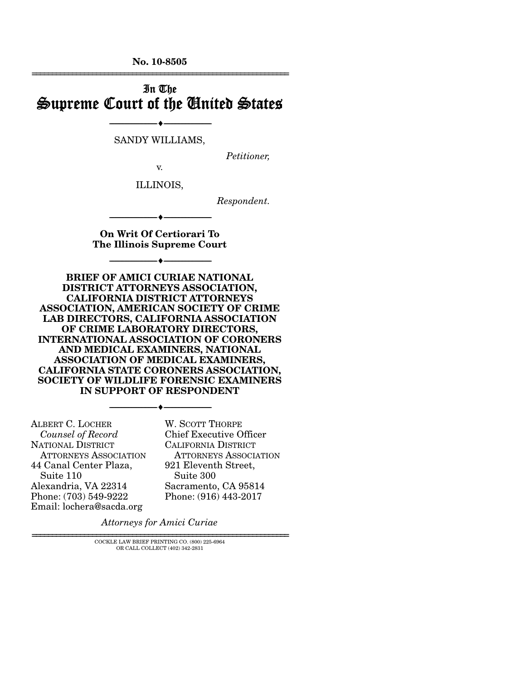**No. 10-8505**  ================================================================

### In The Supreme Court of the United States

SANDY WILLIAMS,

--------------------------------- ♦ ---------------------------------

*Petitioner,* 

v.

ILLINOIS,

*Respondent.* 

**On Writ Of Certiorari To The Illinois Supreme Court** 

--------------------------------- ♦ ---------------------------------

--------------------------------- ♦ ---------------------------------

**BRIEF OF AMICI CURIAE NATIONAL DISTRICT ATTORNEYS ASSOCIATION, CALIFORNIA DISTRICT ATTORNEYS ASSOCIATION, AMERICAN SOCIETY OF CRIME LAB DIRECTORS, CALIFORNIA ASSOCIATION OF CRIME LABORATORY DIRECTORS, INTERNATIONAL ASSOCIATION OF CORONERS AND MEDICAL EXAMINERS, NATIONAL ASSOCIATION OF MEDICAL EXAMINERS, CALIFORNIA STATE CORONERS ASSOCIATION, SOCIETY OF WILDLIFE FORENSIC EXAMINERS IN SUPPORT OF RESPONDENT** 

--------------------------------- ♦ ---------------------------------

ALBERT C. LOCHER *Counsel of Record* NATIONAL DISTRICT ATTORNEYS ASSOCIATION 44 Canal Center Plaza, Suite 110 Alexandria, VA 22314 Phone: (703) 549-9222 Email: lochera@sacda.org

W. SCOTT THORPE Chief Executive Officer CALIFORNIA DISTRICT ATTORNEYS ASSOCIATION 921 Eleventh Street, Suite 300 Sacramento, CA 95814 Phone: (916) 443-2017

*Attorneys for Amici Curiae*

================================================================ COCKLE LAW BRIEF PRINTING CO. (800) 225-6964 OR CALL COLLECT (402) 342-2831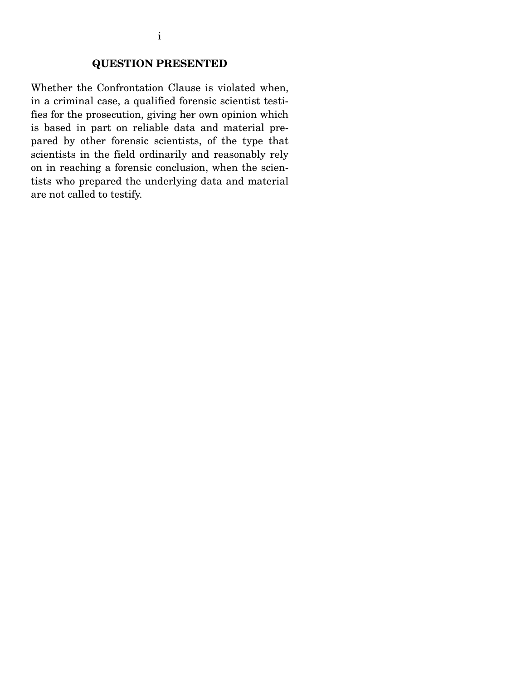### **QUESTION PRESENTED**

Whether the Confrontation Clause is violated when, in a criminal case, a qualified forensic scientist testifies for the prosecution, giving her own opinion which is based in part on reliable data and material prepared by other forensic scientists, of the type that scientists in the field ordinarily and reasonably rely on in reaching a forensic conclusion, when the scientists who prepared the underlying data and material are not called to testify.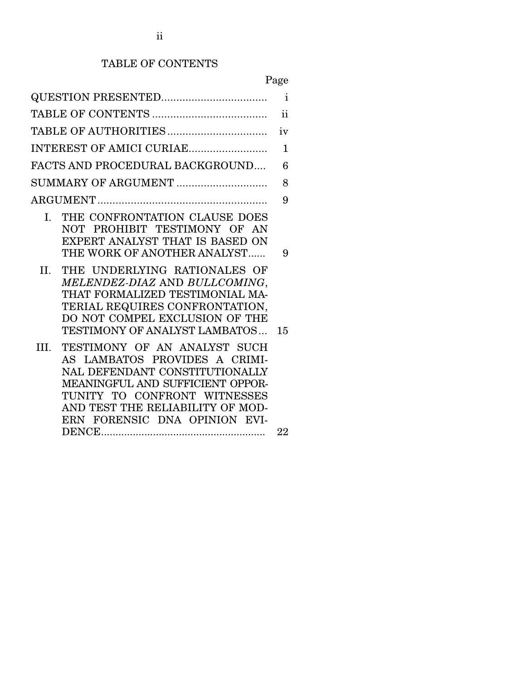# TABLE OF CONTENTS

# Page

|           |                                                                                                                                                                                                                                                                                                         | $\mathbf{i}$  |
|-----------|---------------------------------------------------------------------------------------------------------------------------------------------------------------------------------------------------------------------------------------------------------------------------------------------------------|---------------|
|           |                                                                                                                                                                                                                                                                                                         | $\mathbf{ii}$ |
|           |                                                                                                                                                                                                                                                                                                         | iv            |
|           | INTEREST OF AMICI CURIAE                                                                                                                                                                                                                                                                                | 1             |
|           | FACTS AND PROCEDURAL BACKGROUND                                                                                                                                                                                                                                                                         | 6             |
|           | SUMMARY OF ARGUMENT                                                                                                                                                                                                                                                                                     | 8             |
|           |                                                                                                                                                                                                                                                                                                         | 9             |
| I.<br>II. | THE CONFRONTATION CLAUSE DOES<br>NOT PROHIBIT TESTIMONY OF AN<br>EXPERT ANALYST THAT IS BASED ON<br>THE WORK OF ANOTHER ANALYST<br>THE UNDERLYING RATIONALES OF<br>MELENDEZ-DIAZ AND BULLCOMING,<br>THAT FORMALIZED TESTIMONIAL MA-<br>TERIAL REQUIRES CONFRONTATION,<br>DO NOT COMPEL EXCLUSION OF THE | 9             |
| III.      | TESTIMONY OF ANALYST LAMBATOS<br>TESTIMONY OF AN ANALYST SUCH<br>AS LAMBATOS PROVIDES A CRIMI-<br>NAL DEFENDANT CONSTITUTIONALLY<br>MEANINGFUL AND SUFFICIENT OPPOR-<br>TUNITY TO CONFRONT WITNESSES<br>AND TEST THE RELIABILITY OF MOD-<br>ERN FORENSIC DNA OPINION EVI-                               | 15<br>22      |
|           |                                                                                                                                                                                                                                                                                                         |               |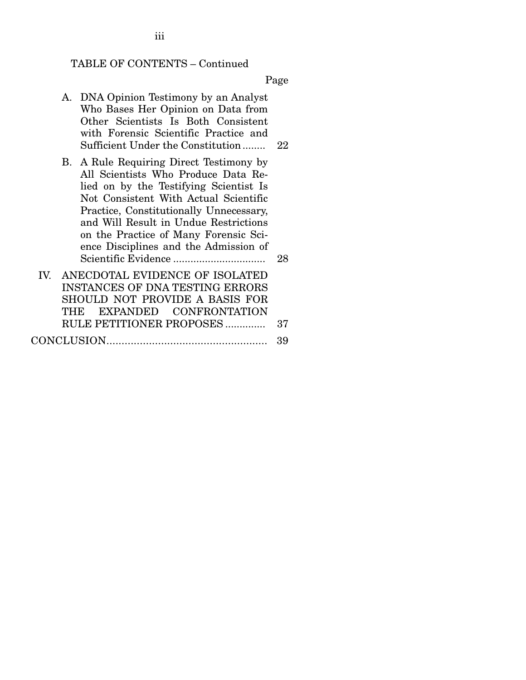#### TABLE OF CONTENTS – Continued

Page

- A. DNA Opinion Testimony by an Analyst Who Bases Her Opinion on Data from Other Scientists Is Both Consistent with Forensic Scientific Practice and Sufficient Under the Constitution ........ 22
- B. A Rule Requiring Direct Testimony by All Scientists Who Produce Data Relied on by the Testifying Scientist Is Not Consistent With Actual Scientific Practice, Constitutionally Unnecessary, and Will Result in Undue Restrictions on the Practice of Many Forensic Science Disciplines and the Admission of Scientific Evidence ................................ 28

|  |  | IV. ANECDOTAL EVIDENCE OF ISOLATED |  |
|--|--|------------------------------------|--|
|  |  | INSTANCES OF DNA TESTING ERRORS    |  |
|  |  | SHOULD NOT PROVIDE A BASIS FOR     |  |
|  |  | THE EXPANDED CONFRONTATION         |  |
|  |  |                                    |  |
|  |  |                                    |  |

iii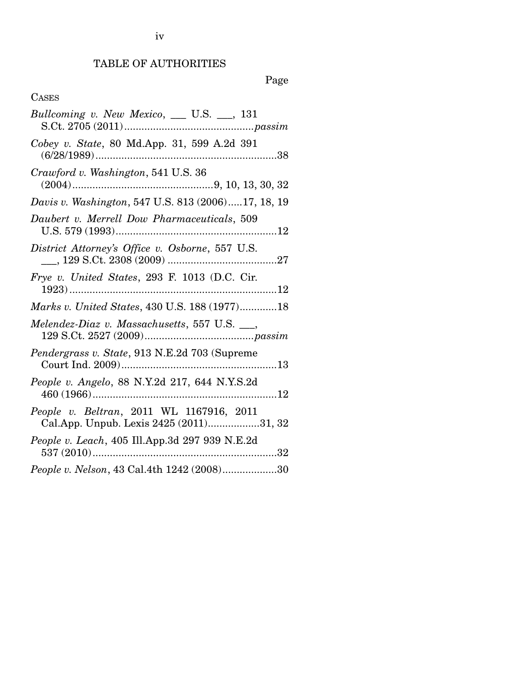TABLE OF AUTHORITIES

# Page

### CASES

| Bullcoming v. New Mexico, ___ U.S. __, 131                                          |
|-------------------------------------------------------------------------------------|
| Cobey v. State, 80 Md.App. 31, 599 A.2d 391                                         |
| <i>Crawford v. Washington,</i> 541 U.S. 36                                          |
| Davis v. Washington, 547 U.S. 813 (2006)17, 18, 19                                  |
| Daubert v. Merrell Dow Pharmaceuticals, 509                                         |
| District Attorney's Office v. Osborne, 557 U.S.                                     |
| Frye v. United States, 293 F. 1013 (D.C. Cir.                                       |
| Marks v. United States, 430 U.S. 188 (1977)18                                       |
| Melendez-Diaz v. Massachusetts, 557 U.S. __,                                        |
| Pendergrass v. State, 913 N.E.2d 703 (Supreme                                       |
| People v. Angelo, 88 N.Y.2d 217, 644 N.Y.S.2d                                       |
| People v. Beltran, 2011 WL 1167916, 2011<br>Cal.App. Unpub. Lexis 2425 (2011)31, 32 |
| People v. Leach, 405 Ill.App.3d 297 939 N.E.2d                                      |
| People v. Nelson, 43 Cal.4th 1242 (2008)30                                          |

iv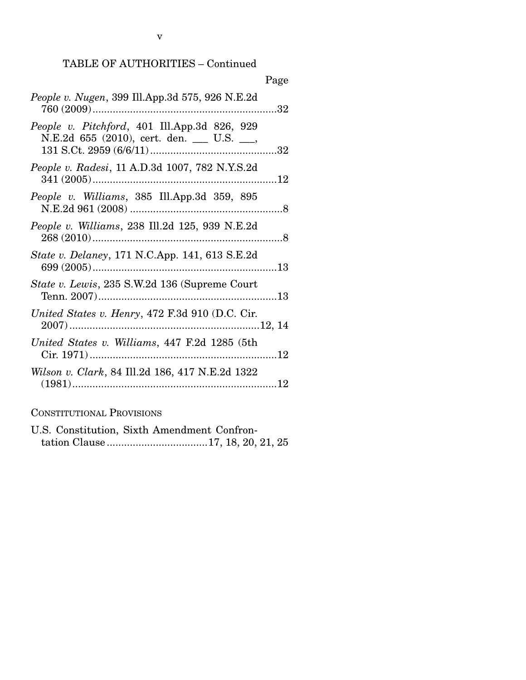### TABLE OF AUTHORITIES – Continued

|                                                                                           | Page |
|-------------------------------------------------------------------------------------------|------|
| People v. Nugen, 399 Ill.App.3d 575, 926 N.E.2d                                           |      |
| People v. Pitchford, 401 Ill.App.3d 826, 929<br>N.E.2d 655 (2010), cert. den. __ U.S. __, |      |
| People v. Radesi, 11 A.D.3d 1007, 782 N.Y.S.2d                                            |      |
| People v. Williams, 385 Ill.App.3d 359, 895                                               |      |
| People v. Williams, 238 Ill.2d 125, 939 N.E.2d                                            |      |
| <i>State v. Delaney</i> , 171 N.C.App. 141, 613 S.E.2d                                    |      |
| State v. Lewis, 235 S.W.2d 136 (Supreme Court                                             |      |
| United States v. Henry, 472 F.3d 910 (D.C. Cir.                                           |      |
| United States v. Williams, 447 F.2d 1285 (5th                                             |      |
| Wilson v. Clark, 84 Ill.2d 186, 417 N.E.2d 1322                                           |      |

CONSTITUTIONAL PROVISIONS

| U.S. Constitution, Sixth Amendment Confron- |  |  |  |  |
|---------------------------------------------|--|--|--|--|
|                                             |  |  |  |  |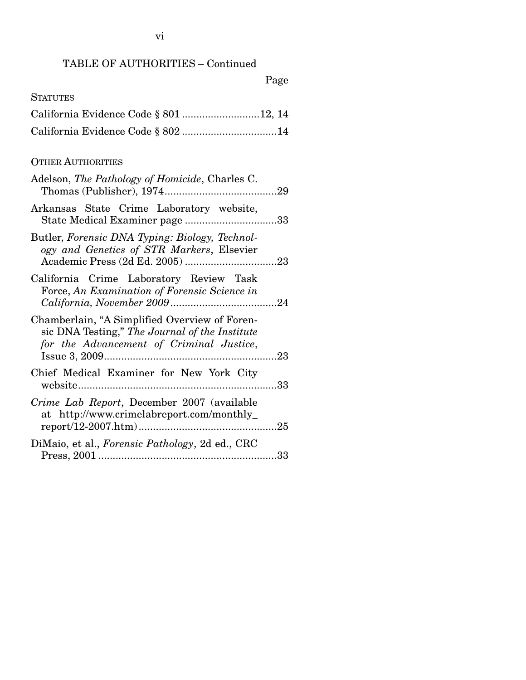# TABLE OF AUTHORITIES – Continued

# Page

| <b>STATUTES</b>                                                                                                                             |
|---------------------------------------------------------------------------------------------------------------------------------------------|
| California Evidence Code § 801 12, 14                                                                                                       |
| California Evidence Code § 802 14                                                                                                           |
| <b>OTHER AUTHORITIES</b>                                                                                                                    |
| Adelson, The Pathology of Homicide, Charles C.                                                                                              |
| Arkansas State Crime Laboratory website,<br>State Medical Examiner page 33                                                                  |
| Butler, Forensic DNA Typing: Biology, Technol-<br>ogy and Genetics of STR Markers, Elsevier                                                 |
| California Crime Laboratory Review Task<br>Force, An Examination of Forensic Science in                                                     |
| Chamberlain, "A Simplified Overview of Foren-<br>sic DNA Testing," The Journal of the Institute<br>for the Advancement of Criminal Justice, |
| Chief Medical Examiner for New York City                                                                                                    |
| Crime Lab Report, December 2007 (available<br>at http://www.crimelabreport.com/monthly_                                                     |
| DiMaio, et al., Forensic Pathology, 2d ed., CRC                                                                                             |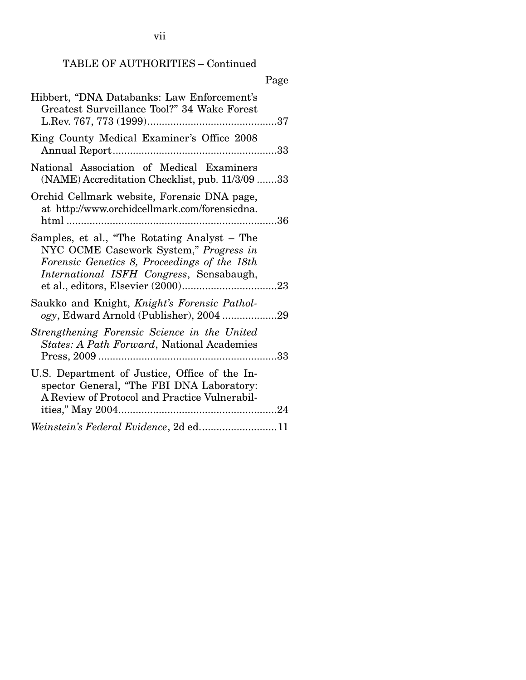TABLE OF AUTHORITIES – Continued

|--|

| Hibbert, "DNA Databanks: Law Enforcement's<br>Greatest Surveillance Tool?" 34 Wake Forest                                                                                                |
|------------------------------------------------------------------------------------------------------------------------------------------------------------------------------------------|
| King County Medical Examiner's Office 2008                                                                                                                                               |
| National Association of Medical Examiners<br>(NAME) Accreditation Checklist, pub. 11/3/09 33                                                                                             |
| Orchid Cellmark website, Forensic DNA page,<br>at http://www.orchidcellmark.com/forensicdna.                                                                                             |
| Samples, et al., "The Rotating Analyst - The<br>NYC OCME Casework System," Progress in<br>Forensic Genetics 8, Proceedings of the 18th<br>International ISFH Congress, Sensabaugh,<br>23 |
| Saukko and Knight, Knight's Forensic Pathol-<br>ogy, Edward Arnold (Publisher), 2004 29                                                                                                  |
| Strengthening Forensic Science in the United<br>States: A Path Forward, National Academies                                                                                               |
| U.S. Department of Justice, Office of the In-<br>spector General, "The FBI DNA Laboratory:<br>A Review of Protocol and Practice Vulnerabil-                                              |
| Weinstein's Federal Evidence, 2d ed11                                                                                                                                                    |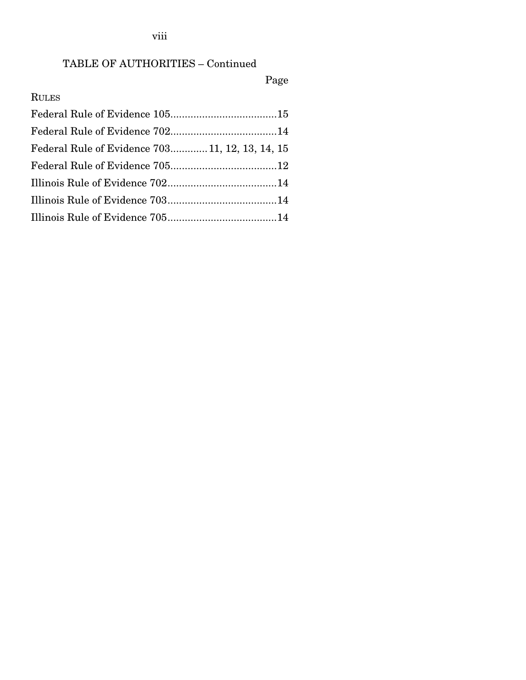viii

# TABLE OF AUTHORITIES – Continued

# Page

# RULES

| Federal Rule of Evidence 703 11, 12, 13, 14, 15 |  |
|-------------------------------------------------|--|
|                                                 |  |
|                                                 |  |
|                                                 |  |
|                                                 |  |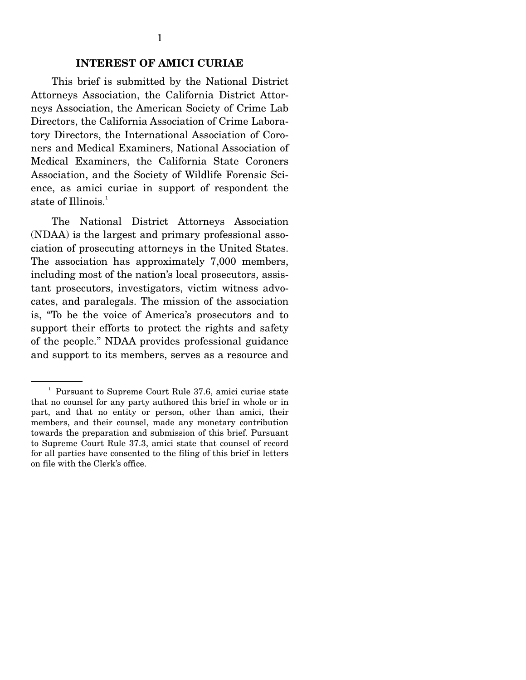### **INTEREST OF AMICI CURIAE**

 This brief is submitted by the National District Attorneys Association, the California District Attorneys Association, the American Society of Crime Lab Directors, the California Association of Crime Laboratory Directors, the International Association of Coroners and Medical Examiners, National Association of Medical Examiners, the California State Coroners Association, and the Society of Wildlife Forensic Science, as amici curiae in support of respondent the state of Illinois.<sup>1</sup>

 The National District Attorneys Association (NDAA) is the largest and primary professional association of prosecuting attorneys in the United States. The association has approximately 7,000 members, including most of the nation's local prosecutors, assistant prosecutors, investigators, victim witness advocates, and paralegals. The mission of the association is, "To be the voice of America's prosecutors and to support their efforts to protect the rights and safety of the people." NDAA provides professional guidance and support to its members, serves as a resource and

<sup>&</sup>lt;sup>1</sup> Pursuant to Supreme Court Rule 37.6, amici curiae state that no counsel for any party authored this brief in whole or in part, and that no entity or person, other than amici, their members, and their counsel, made any monetary contribution towards the preparation and submission of this brief. Pursuant to Supreme Court Rule 37.3, amici state that counsel of record for all parties have consented to the filing of this brief in letters on file with the Clerk's office.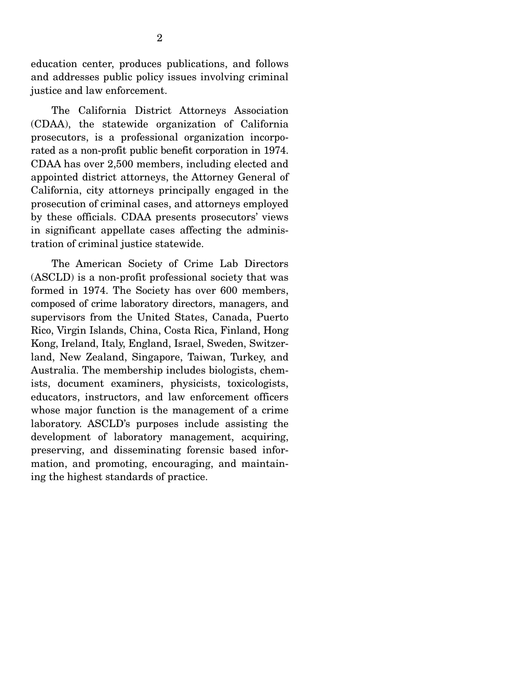education center, produces publications, and follows and addresses public policy issues involving criminal justice and law enforcement.

 The California District Attorneys Association (CDAA), the statewide organization of California prosecutors, is a professional organization incorporated as a non-profit public benefit corporation in 1974. CDAA has over 2,500 members, including elected and appointed district attorneys, the Attorney General of California, city attorneys principally engaged in the prosecution of criminal cases, and attorneys employed by these officials. CDAA presents prosecutors' views in significant appellate cases affecting the administration of criminal justice statewide.

 The American Society of Crime Lab Directors (ASCLD) is a non-profit professional society that was formed in 1974. The Society has over 600 members, composed of crime laboratory directors, managers, and supervisors from the United States, Canada, Puerto Rico, Virgin Islands, China, Costa Rica, Finland, Hong Kong, Ireland, Italy, England, Israel, Sweden, Switzerland, New Zealand, Singapore, Taiwan, Turkey, and Australia. The membership includes biologists, chemists, document examiners, physicists, toxicologists, educators, instructors, and law enforcement officers whose major function is the management of a crime laboratory. ASCLD's purposes include assisting the development of laboratory management, acquiring, preserving, and disseminating forensic based information, and promoting, encouraging, and maintaining the highest standards of practice.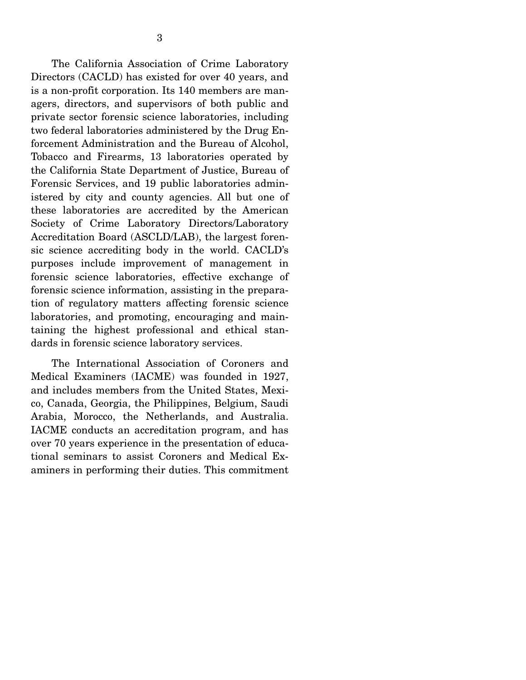The California Association of Crime Laboratory Directors (CACLD) has existed for over 40 years, and is a non-profit corporation. Its 140 members are managers, directors, and supervisors of both public and private sector forensic science laboratories, including two federal laboratories administered by the Drug Enforcement Administration and the Bureau of Alcohol, Tobacco and Firearms, 13 laboratories operated by the California State Department of Justice, Bureau of Forensic Services, and 19 public laboratories administered by city and county agencies. All but one of these laboratories are accredited by the American Society of Crime Laboratory Directors/Laboratory Accreditation Board (ASCLD/LAB), the largest forensic science accrediting body in the world. CACLD's purposes include improvement of management in forensic science laboratories, effective exchange of forensic science information, assisting in the preparation of regulatory matters affecting forensic science laboratories, and promoting, encouraging and maintaining the highest professional and ethical standards in forensic science laboratory services.

 The International Association of Coroners and Medical Examiners (IACME) was founded in 1927, and includes members from the United States, Mexico, Canada, Georgia, the Philippines, Belgium, Saudi Arabia, Morocco, the Netherlands, and Australia. IACME conducts an accreditation program, and has over 70 years experience in the presentation of educational seminars to assist Coroners and Medical Examiners in performing their duties. This commitment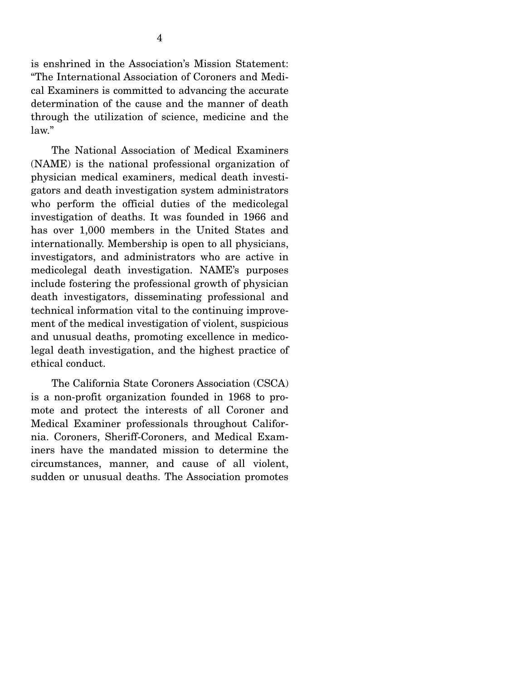is enshrined in the Association's Mission Statement: "The International Association of Coroners and Medical Examiners is committed to advancing the accurate determination of the cause and the manner of death through the utilization of science, medicine and the law."

 The National Association of Medical Examiners (NAME) is the national professional organization of physician medical examiners, medical death investigators and death investigation system administrators who perform the official duties of the medicolegal investigation of deaths. It was founded in 1966 and has over 1,000 members in the United States and internationally. Membership is open to all physicians, investigators, and administrators who are active in medicolegal death investigation. NAME's purposes include fostering the professional growth of physician death investigators, disseminating professional and technical information vital to the continuing improvement of the medical investigation of violent, suspicious and unusual deaths, promoting excellence in medicolegal death investigation, and the highest practice of ethical conduct.

 The California State Coroners Association (CSCA) is a non-profit organization founded in 1968 to promote and protect the interests of all Coroner and Medical Examiner professionals throughout California. Coroners, Sheriff-Coroners, and Medical Examiners have the mandated mission to determine the circumstances, manner, and cause of all violent, sudden or unusual deaths. The Association promotes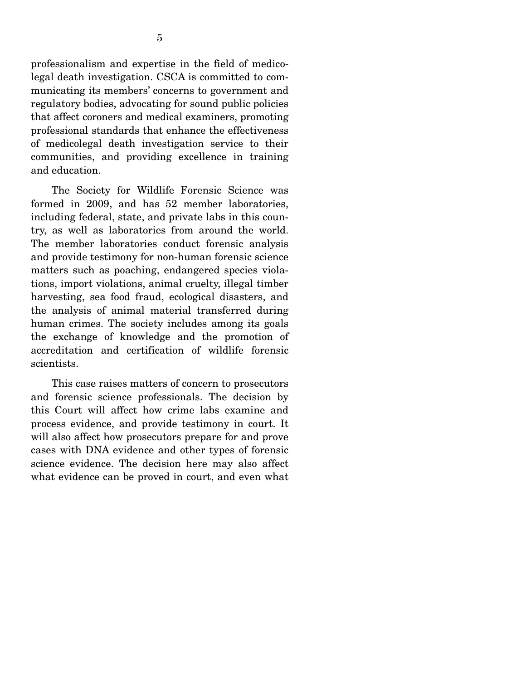professionalism and expertise in the field of medicolegal death investigation. CSCA is committed to communicating its members' concerns to government and regulatory bodies, advocating for sound public policies that affect coroners and medical examiners, promoting professional standards that enhance the effectiveness of medicolegal death investigation service to their communities, and providing excellence in training and education.

 The Society for Wildlife Forensic Science was formed in 2009, and has 52 member laboratories, including federal, state, and private labs in this country, as well as laboratories from around the world. The member laboratories conduct forensic analysis and provide testimony for non-human forensic science matters such as poaching, endangered species violations, import violations, animal cruelty, illegal timber harvesting, sea food fraud, ecological disasters, and the analysis of animal material transferred during human crimes. The society includes among its goals the exchange of knowledge and the promotion of accreditation and certification of wildlife forensic scientists.

 This case raises matters of concern to prosecutors and forensic science professionals. The decision by this Court will affect how crime labs examine and process evidence, and provide testimony in court. It will also affect how prosecutors prepare for and prove cases with DNA evidence and other types of forensic science evidence. The decision here may also affect what evidence can be proved in court, and even what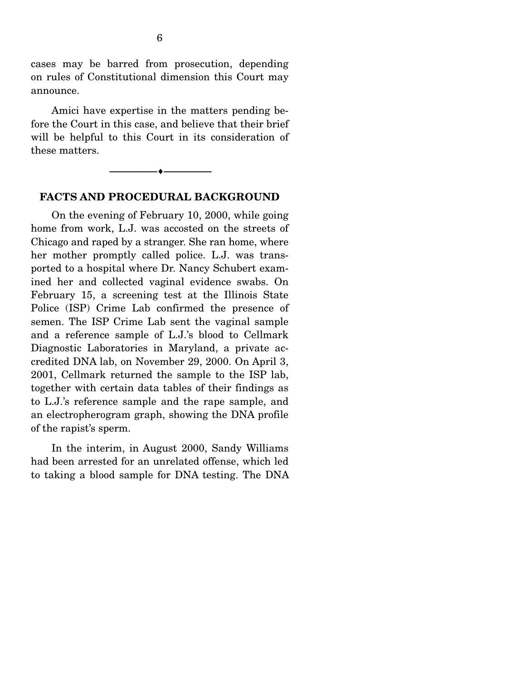cases may be barred from prosecution, depending on rules of Constitutional dimension this Court may announce.

 Amici have expertise in the matters pending before the Court in this case, and believe that their brief will be helpful to this Court in its consideration of these matters.



#### **FACTS AND PROCEDURAL BACKGROUND**

 On the evening of February 10, 2000, while going home from work, L.J. was accosted on the streets of Chicago and raped by a stranger. She ran home, where her mother promptly called police. L.J. was transported to a hospital where Dr. Nancy Schubert examined her and collected vaginal evidence swabs. On February 15, a screening test at the Illinois State Police (ISP) Crime Lab confirmed the presence of semen. The ISP Crime Lab sent the vaginal sample and a reference sample of L.J.'s blood to Cellmark Diagnostic Laboratories in Maryland, a private accredited DNA lab, on November 29, 2000. On April 3, 2001, Cellmark returned the sample to the ISP lab, together with certain data tables of their findings as to L.J.'s reference sample and the rape sample, and an electropherogram graph, showing the DNA profile of the rapist's sperm.

 In the interim, in August 2000, Sandy Williams had been arrested for an unrelated offense, which led to taking a blood sample for DNA testing. The DNA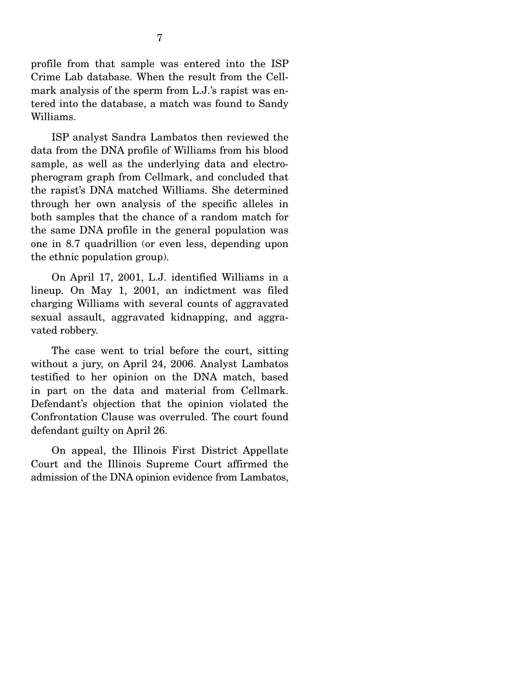profile from that sample was entered into the ISP Crime Lab database. When the result from the Cellmark analysis of the sperm from L.J.'s rapist was entered into the database, a match was found to Sandy Williams.

 ISP analyst Sandra Lambatos then reviewed the data from the DNA profile of Williams from his blood sample, as well as the underlying data and electropherogram graph from Cellmark, and concluded that the rapist's DNA matched Williams. She determined through her own analysis of the specific alleles in both samples that the chance of a random match for the same DNA profile in the general population was one in 8.7 quadrillion (or even less, depending upon the ethnic population group).

 On April 17, 2001, L.J. identified Williams in a lineup. On May 1, 2001, an indictment was filed charging Williams with several counts of aggravated sexual assault, aggravated kidnapping, and aggravated robbery.

 The case went to trial before the court, sitting without a jury, on April 24, 2006. Analyst Lambatos testified to her opinion on the DNA match, based in part on the data and material from Cellmark. Defendant's objection that the opinion violated the Confrontation Clause was overruled. The court found defendant guilty on April 26.

 On appeal, the Illinois First District Appellate Court and the Illinois Supreme Court affirmed the admission of the DNA opinion evidence from Lambatos,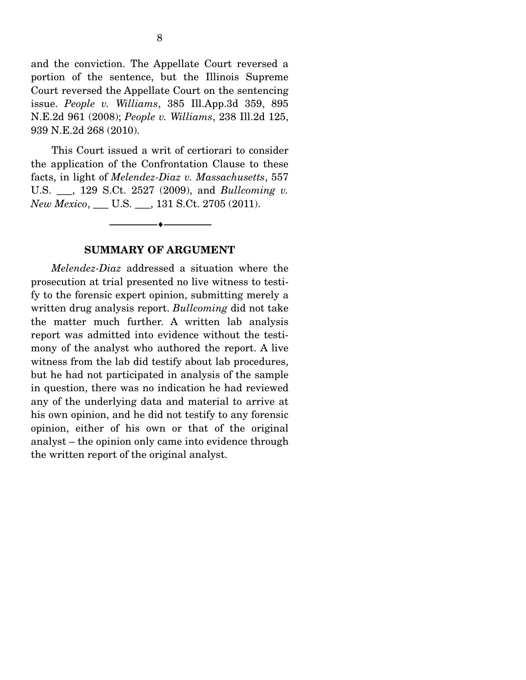and the conviction. The Appellate Court reversed a portion of the sentence, but the Illinois Supreme Court reversed the Appellate Court on the sentencing issue. *People v. Williams*, 385 Ill.App.3d 359, 895 N.E.2d 961 (2008); *People v. Williams*, 238 Ill.2d 125, 939 N.E.2d 268 (2010).

 This Court issued a writ of certiorari to consider the application of the Confrontation Clause to these facts, in light of *Melendez-Diaz v. Massachusetts*, 557 U.S. \_\_\_, 129 S.Ct. 2527 (2009), and *Bullcoming v. New Mexico*, \_\_\_ U.S. \_\_\_, 131 S.Ct. 2705 (2011).

#### **SUMMARY OF ARGUMENT**

 $\overbrace{\hspace{2.5cm}}$   $\overbrace{\hspace{2.5cm}}$ 

*Melendez-Diaz* addressed a situation where the prosecution at trial presented no live witness to testify to the forensic expert opinion, submitting merely a written drug analysis report. *Bullcoming* did not take the matter much further. A written lab analysis report was admitted into evidence without the testimony of the analyst who authored the report. A live witness from the lab did testify about lab procedures, but he had not participated in analysis of the sample in question, there was no indication he had reviewed any of the underlying data and material to arrive at his own opinion, and he did not testify to any forensic opinion, either of his own or that of the original analyst – the opinion only came into evidence through the written report of the original analyst.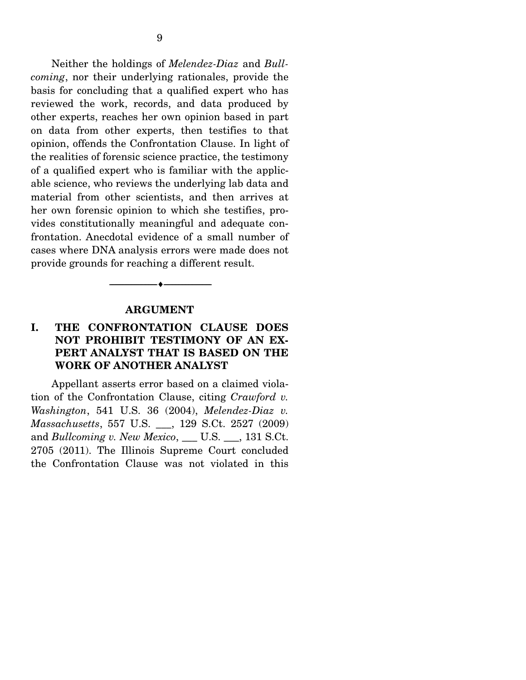Neither the holdings of *Melendez-Diaz* and *Bullcoming*, nor their underlying rationales, provide the basis for concluding that a qualified expert who has reviewed the work, records, and data produced by other experts, reaches her own opinion based in part on data from other experts, then testifies to that opinion, offends the Confrontation Clause. In light of the realities of forensic science practice, the testimony of a qualified expert who is familiar with the applicable science, who reviews the underlying lab data and material from other scientists, and then arrives at her own forensic opinion to which she testifies, provides constitutionally meaningful and adequate confrontation. Anecdotal evidence of a small number of cases where DNA analysis errors were made does not provide grounds for reaching a different result.

#### **ARGUMENT**

--------------------------------- ♦ ---------------------------------

### **I. THE CONFRONTATION CLAUSE DOES NOT PROHIBIT TESTIMONY OF AN EX-PERT ANALYST THAT IS BASED ON THE WORK OF ANOTHER ANALYST**

 Appellant asserts error based on a claimed violation of the Confrontation Clause, citing *Crawford v. Washington*, 541 U.S. 36 (2004), *Melendez-Diaz v. Massachusetts*, 557 U.S. \_\_\_, 129 S.Ct. 2527 (2009) and *Bullcoming v. New Mexico*, \_\_\_ U.S. \_\_\_, 131 S.Ct. 2705 (2011). The Illinois Supreme Court concluded the Confrontation Clause was not violated in this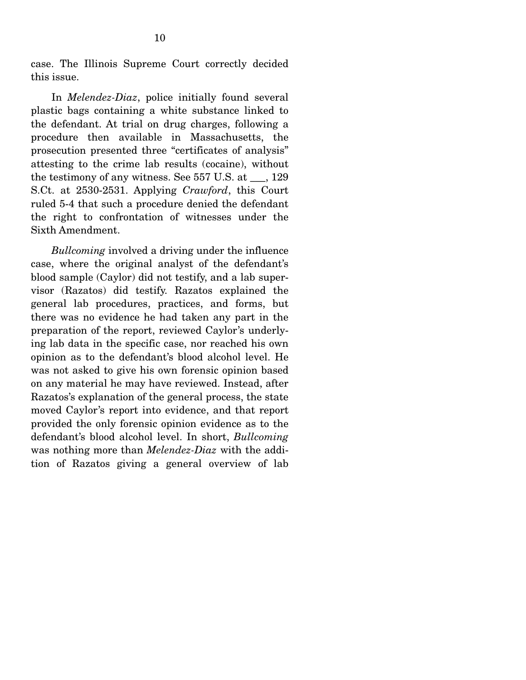case. The Illinois Supreme Court correctly decided this issue.

 In *Melendez-Diaz*, police initially found several plastic bags containing a white substance linked to the defendant. At trial on drug charges, following a procedure then available in Massachusetts, the prosecution presented three "certificates of analysis" attesting to the crime lab results (cocaine), without the testimony of any witness. See 557 U.S. at \_\_\_, 129 S.Ct. at 2530-2531. Applying *Crawford*, this Court ruled 5-4 that such a procedure denied the defendant the right to confrontation of witnesses under the Sixth Amendment.

*Bullcoming* involved a driving under the influence case, where the original analyst of the defendant's blood sample (Caylor) did not testify, and a lab supervisor (Razatos) did testify. Razatos explained the general lab procedures, practices, and forms, but there was no evidence he had taken any part in the preparation of the report, reviewed Caylor's underlying lab data in the specific case, nor reached his own opinion as to the defendant's blood alcohol level. He was not asked to give his own forensic opinion based on any material he may have reviewed. Instead, after Razatos's explanation of the general process, the state moved Caylor's report into evidence, and that report provided the only forensic opinion evidence as to the defendant's blood alcohol level. In short, *Bullcoming* was nothing more than *Melendez-Diaz* with the addition of Razatos giving a general overview of lab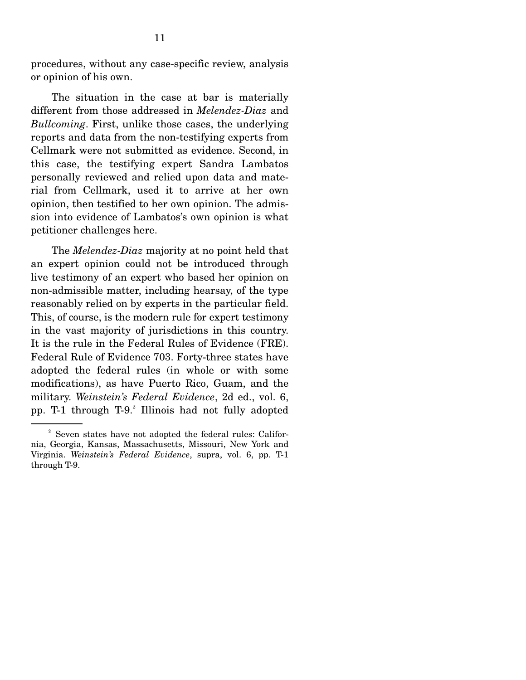procedures, without any case-specific review, analysis or opinion of his own.

 The situation in the case at bar is materially different from those addressed in *Melendez-Diaz* and *Bullcoming*. First, unlike those cases, the underlying reports and data from the non-testifying experts from Cellmark were not submitted as evidence. Second, in this case, the testifying expert Sandra Lambatos personally reviewed and relied upon data and material from Cellmark, used it to arrive at her own opinion, then testified to her own opinion. The admission into evidence of Lambatos's own opinion is what petitioner challenges here.

 The *Melendez-Diaz* majority at no point held that an expert opinion could not be introduced through live testimony of an expert who based her opinion on non-admissible matter, including hearsay, of the type reasonably relied on by experts in the particular field. This, of course, is the modern rule for expert testimony in the vast majority of jurisdictions in this country. It is the rule in the Federal Rules of Evidence (FRE). Federal Rule of Evidence 703. Forty-three states have adopted the federal rules (in whole or with some modifications), as have Puerto Rico, Guam, and the military. *Weinstein's Federal Evidence*, 2d ed., vol. 6, pp. T-1 through  $T-9$ . Illinois had not fully adopted

<sup>&</sup>lt;sup>2</sup> Seven states have not adopted the federal rules: California, Georgia, Kansas, Massachusetts, Missouri, New York and Virginia. *Weinstein's Federal Evidence*, supra, vol. 6, pp. T-1 through T-9.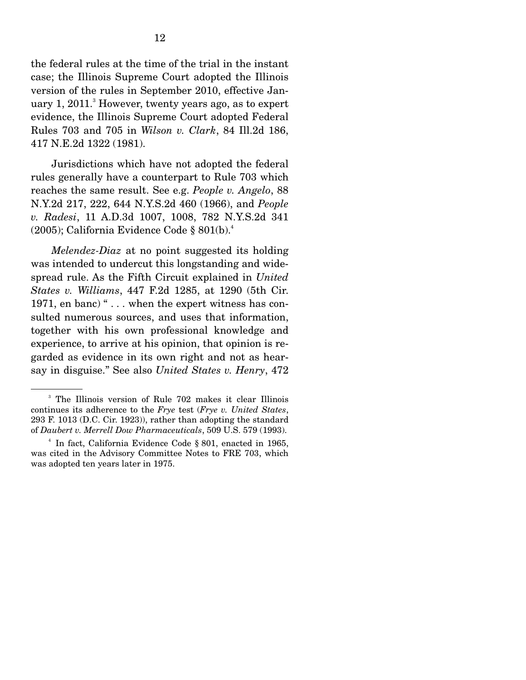the federal rules at the time of the trial in the instant case; the Illinois Supreme Court adopted the Illinois version of the rules in September 2010, effective January 1,  $2011.^\circ$  However, twenty years ago, as to expert evidence, the Illinois Supreme Court adopted Federal Rules 703 and 705 in *Wilson v. Clark*, 84 Ill.2d 186, 417 N.E.2d 1322 (1981).

 Jurisdictions which have not adopted the federal rules generally have a counterpart to Rule 703 which reaches the same result. See e.g. *People v. Angelo*, 88 N.Y.2d 217, 222, 644 N.Y.S.2d 460 (1966), and *People v. Radesi*, 11 A.D.3d 1007, 1008, 782 N.Y.S.2d 341 (2005); California Evidence Code § 801(b).4

*Melendez-Diaz* at no point suggested its holding was intended to undercut this longstanding and widespread rule. As the Fifth Circuit explained in *United States v. Williams*, 447 F.2d 1285, at 1290 (5th Cir. 1971, en banc) " . . . when the expert witness has consulted numerous sources, and uses that information, together with his own professional knowledge and experience, to arrive at his opinion, that opinion is regarded as evidence in its own right and not as hearsay in disguise." See also *United States v. Henry*, 472

<sup>3</sup> The Illinois version of Rule 702 makes it clear Illinois continues its adherence to the *Frye* test (*Frye v. United States*, 293 F. 1013 (D.C. Cir. 1923)), rather than adopting the standard of *Daubert v. Merrell Dow Pharmaceuticals*, 509 U.S. 579 (1993).

<sup>4</sup> In fact, California Evidence Code § 801, enacted in 1965, was cited in the Advisory Committee Notes to FRE 703, which was adopted ten years later in 1975.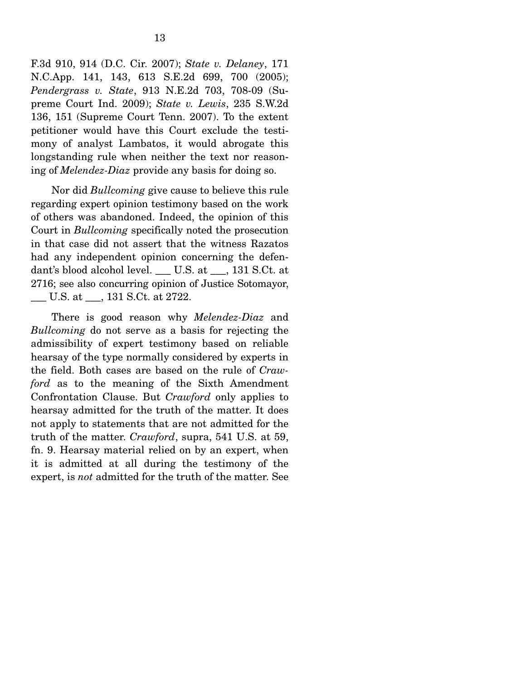F.3d 910, 914 (D.C. Cir. 2007); *State v. Delaney*, 171 N.C.App. 141, 143, 613 S.E.2d 699, 700 (2005); *Pendergrass v. State*, 913 N.E.2d 703, 708-09 (Supreme Court Ind. 2009); *State v. Lewis*, 235 S.W.2d 136, 151 (Supreme Court Tenn. 2007). To the extent petitioner would have this Court exclude the testimony of analyst Lambatos, it would abrogate this longstanding rule when neither the text nor reasoning of *Melendez-Diaz* provide any basis for doing so.

 Nor did *Bullcoming* give cause to believe this rule regarding expert opinion testimony based on the work of others was abandoned. Indeed, the opinion of this Court in *Bullcoming* specifically noted the prosecution in that case did not assert that the witness Razatos had any independent opinion concerning the defendant's blood alcohol level. \_\_\_ U.S. at \_\_\_, 131 S.Ct. at 2716; see also concurring opinion of Justice Sotomayor, \_\_\_ U.S. at \_\_\_, 131 S.Ct. at 2722.

 There is good reason why *Melendez-Diaz* and *Bullcoming* do not serve as a basis for rejecting the admissibility of expert testimony based on reliable hearsay of the type normally considered by experts in the field. Both cases are based on the rule of *Crawford* as to the meaning of the Sixth Amendment Confrontation Clause. But *Crawford* only applies to hearsay admitted for the truth of the matter. It does not apply to statements that are not admitted for the truth of the matter. *Crawford*, supra, 541 U.S. at 59, fn. 9. Hearsay material relied on by an expert, when it is admitted at all during the testimony of the expert, is *not* admitted for the truth of the matter. See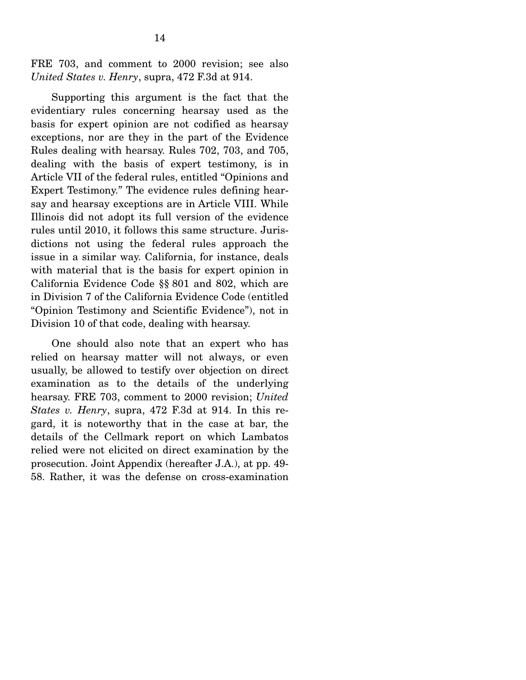FRE 703, and comment to 2000 revision; see also *United States v. Henry*, supra, 472 F.3d at 914.

 Supporting this argument is the fact that the evidentiary rules concerning hearsay used as the basis for expert opinion are not codified as hearsay exceptions, nor are they in the part of the Evidence Rules dealing with hearsay. Rules 702, 703, and 705, dealing with the basis of expert testimony, is in Article VII of the federal rules, entitled "Opinions and Expert Testimony." The evidence rules defining hearsay and hearsay exceptions are in Article VIII. While Illinois did not adopt its full version of the evidence rules until 2010, it follows this same structure. Jurisdictions not using the federal rules approach the issue in a similar way. California, for instance, deals with material that is the basis for expert opinion in California Evidence Code §§ 801 and 802, which are in Division 7 of the California Evidence Code (entitled "Opinion Testimony and Scientific Evidence"), not in Division 10 of that code, dealing with hearsay.

 One should also note that an expert who has relied on hearsay matter will not always, or even usually, be allowed to testify over objection on direct examination as to the details of the underlying hearsay. FRE 703, comment to 2000 revision; *United States v. Henry*, supra, 472 F.3d at 914. In this regard, it is noteworthy that in the case at bar, the details of the Cellmark report on which Lambatos relied were not elicited on direct examination by the prosecution. Joint Appendix (hereafter J.A.), at pp. 49- 58. Rather, it was the defense on cross-examination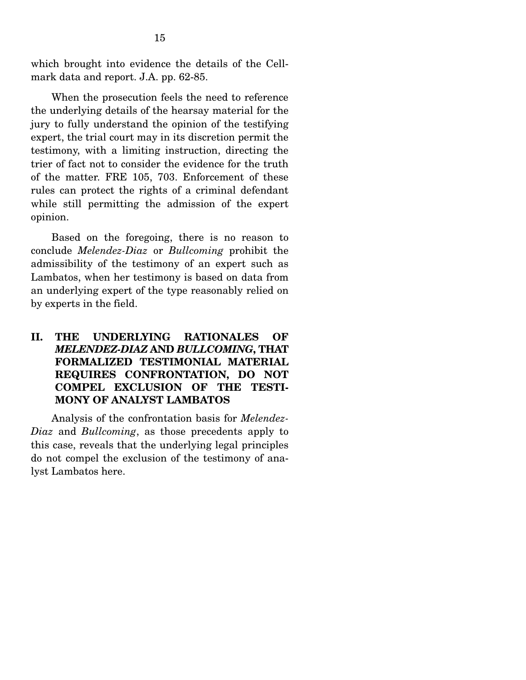which brought into evidence the details of the Cellmark data and report. J.A. pp. 62-85.

 When the prosecution feels the need to reference the underlying details of the hearsay material for the jury to fully understand the opinion of the testifying expert, the trial court may in its discretion permit the testimony, with a limiting instruction, directing the trier of fact not to consider the evidence for the truth of the matter. FRE 105, 703. Enforcement of these rules can protect the rights of a criminal defendant while still permitting the admission of the expert opinion.

 Based on the foregoing, there is no reason to conclude *Melendez-Diaz* or *Bullcoming* prohibit the admissibility of the testimony of an expert such as Lambatos, when her testimony is based on data from an underlying expert of the type reasonably relied on by experts in the field.

### **II. THE UNDERLYING RATIONALES OF**  *MELENDEZ-DIAZ* **AND** *BULLCOMING***, THAT FORMALIZED TESTIMONIAL MATERIAL REQUIRES CONFRONTATION, DO NOT COMPEL EXCLUSION OF THE TESTI-MONY OF ANALYST LAMBATOS**

 Analysis of the confrontation basis for *Melendez-Diaz* and *Bullcoming*, as those precedents apply to this case, reveals that the underlying legal principles do not compel the exclusion of the testimony of analyst Lambatos here.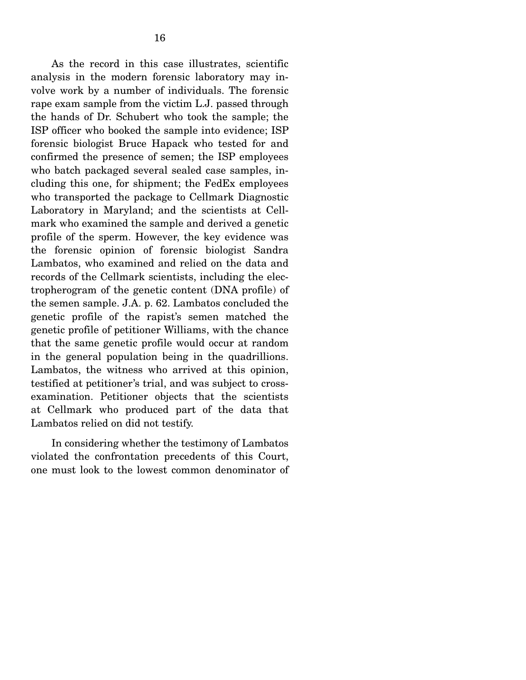As the record in this case illustrates, scientific analysis in the modern forensic laboratory may involve work by a number of individuals. The forensic rape exam sample from the victim L.J. passed through the hands of Dr. Schubert who took the sample; the ISP officer who booked the sample into evidence; ISP forensic biologist Bruce Hapack who tested for and confirmed the presence of semen; the ISP employees who batch packaged several sealed case samples, including this one, for shipment; the FedEx employees who transported the package to Cellmark Diagnostic Laboratory in Maryland; and the scientists at Cellmark who examined the sample and derived a genetic profile of the sperm. However, the key evidence was the forensic opinion of forensic biologist Sandra Lambatos, who examined and relied on the data and records of the Cellmark scientists, including the electropherogram of the genetic content (DNA profile) of the semen sample. J.A. p. 62. Lambatos concluded the genetic profile of the rapist's semen matched the genetic profile of petitioner Williams, with the chance that the same genetic profile would occur at random in the general population being in the quadrillions. Lambatos, the witness who arrived at this opinion, testified at petitioner's trial, and was subject to crossexamination. Petitioner objects that the scientists at Cellmark who produced part of the data that Lambatos relied on did not testify.

 In considering whether the testimony of Lambatos violated the confrontation precedents of this Court, one must look to the lowest common denominator of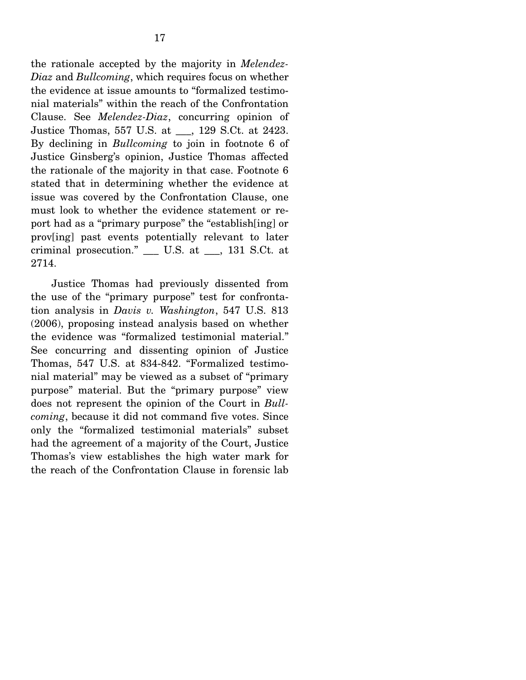the rationale accepted by the majority in *Melendez-Diaz* and *Bullcoming*, which requires focus on whether the evidence at issue amounts to "formalized testimonial materials" within the reach of the Confrontation Clause. See *Melendez-Diaz*, concurring opinion of Justice Thomas, 557 U.S. at \_\_\_, 129 S.Ct. at 2423. By declining in *Bullcoming* to join in footnote 6 of Justice Ginsberg's opinion, Justice Thomas affected the rationale of the majority in that case. Footnote 6 stated that in determining whether the evidence at issue was covered by the Confrontation Clause, one must look to whether the evidence statement or report had as a "primary purpose" the "establish[ing] or prov[ing] past events potentially relevant to later criminal prosecution." \_\_\_ U.S. at \_\_\_, 131 S.Ct. at 2714.

 Justice Thomas had previously dissented from the use of the "primary purpose" test for confrontation analysis in *Davis v. Washington*, 547 U.S. 813 (2006), proposing instead analysis based on whether the evidence was "formalized testimonial material." See concurring and dissenting opinion of Justice Thomas, 547 U.S. at 834-842. "Formalized testimonial material" may be viewed as a subset of "primary purpose" material. But the "primary purpose" view does not represent the opinion of the Court in *Bullcoming*, because it did not command five votes. Since only the "formalized testimonial materials" subset had the agreement of a majority of the Court, Justice Thomas's view establishes the high water mark for the reach of the Confrontation Clause in forensic lab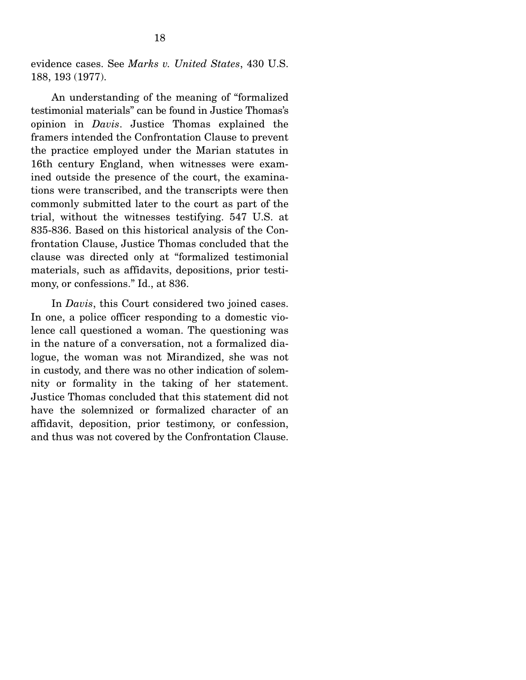evidence cases. See *Marks v. United States*, 430 U.S. 188, 193 (1977).

 An understanding of the meaning of "formalized testimonial materials" can be found in Justice Thomas's opinion in *Davis*. Justice Thomas explained the framers intended the Confrontation Clause to prevent the practice employed under the Marian statutes in 16th century England, when witnesses were examined outside the presence of the court, the examinations were transcribed, and the transcripts were then commonly submitted later to the court as part of the trial, without the witnesses testifying. 547 U.S. at 835-836. Based on this historical analysis of the Confrontation Clause, Justice Thomas concluded that the clause was directed only at "formalized testimonial materials, such as affidavits, depositions, prior testimony, or confessions." Id., at 836.

 In *Davis*, this Court considered two joined cases. In one, a police officer responding to a domestic violence call questioned a woman. The questioning was in the nature of a conversation, not a formalized dialogue, the woman was not Mirandized, she was not in custody, and there was no other indication of solemnity or formality in the taking of her statement. Justice Thomas concluded that this statement did not have the solemnized or formalized character of an affidavit, deposition, prior testimony, or confession, and thus was not covered by the Confrontation Clause.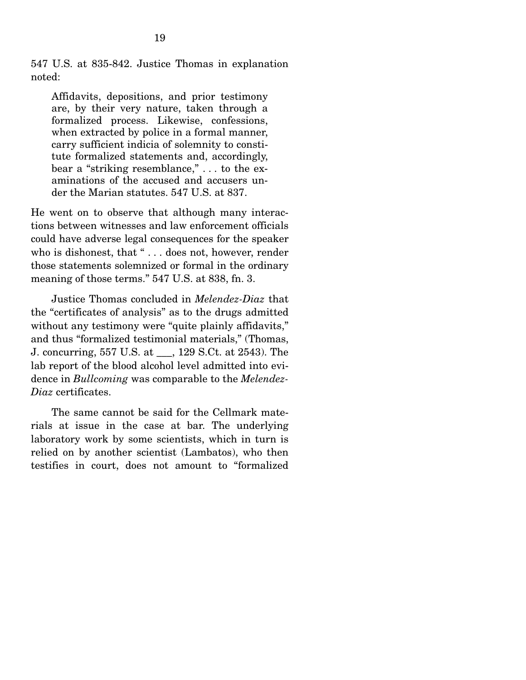547 U.S. at 835-842. Justice Thomas in explanation noted:

Affidavits, depositions, and prior testimony are, by their very nature, taken through a formalized process. Likewise, confessions, when extracted by police in a formal manner, carry sufficient indicia of solemnity to constitute formalized statements and, accordingly, bear a "striking resemblance," . . . to the examinations of the accused and accusers under the Marian statutes. 547 U.S. at 837.

He went on to observe that although many interactions between witnesses and law enforcement officials could have adverse legal consequences for the speaker who is dishonest, that " . . . does not, however, render those statements solemnized or formal in the ordinary meaning of those terms." 547 U.S. at 838, fn. 3.

 Justice Thomas concluded in *Melendez-Diaz* that the "certificates of analysis" as to the drugs admitted without any testimony were "quite plainly affidavits," and thus "formalized testimonial materials," (Thomas, J. concurring, 557 U.S. at \_\_\_, 129 S.Ct. at 2543). The lab report of the blood alcohol level admitted into evidence in *Bullcoming* was comparable to the *Melendez-Diaz* certificates.

 The same cannot be said for the Cellmark materials at issue in the case at bar. The underlying laboratory work by some scientists, which in turn is relied on by another scientist (Lambatos), who then testifies in court, does not amount to "formalized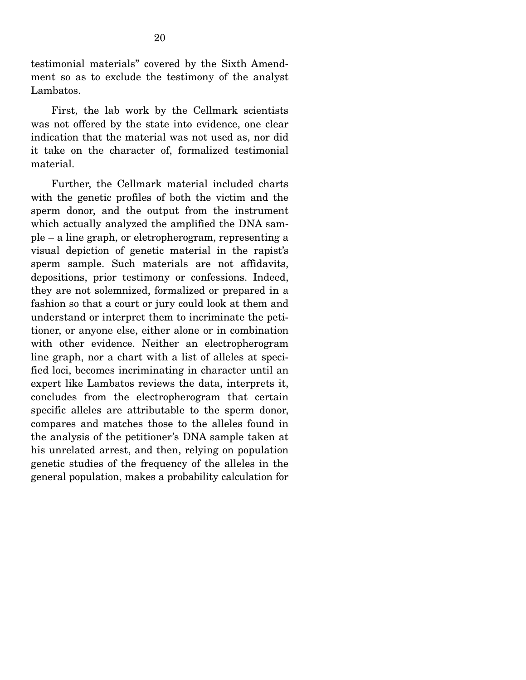testimonial materials" covered by the Sixth Amendment so as to exclude the testimony of the analyst Lambatos.

 First, the lab work by the Cellmark scientists was not offered by the state into evidence, one clear indication that the material was not used as, nor did it take on the character of, formalized testimonial material.

 Further, the Cellmark material included charts with the genetic profiles of both the victim and the sperm donor, and the output from the instrument which actually analyzed the amplified the DNA sample – a line graph, or eletropherogram, representing a visual depiction of genetic material in the rapist's sperm sample. Such materials are not affidavits, depositions, prior testimony or confessions. Indeed, they are not solemnized, formalized or prepared in a fashion so that a court or jury could look at them and understand or interpret them to incriminate the petitioner, or anyone else, either alone or in combination with other evidence. Neither an electropherogram line graph, nor a chart with a list of alleles at specified loci, becomes incriminating in character until an expert like Lambatos reviews the data, interprets it, concludes from the electropherogram that certain specific alleles are attributable to the sperm donor, compares and matches those to the alleles found in the analysis of the petitioner's DNA sample taken at his unrelated arrest, and then, relying on population genetic studies of the frequency of the alleles in the general population, makes a probability calculation for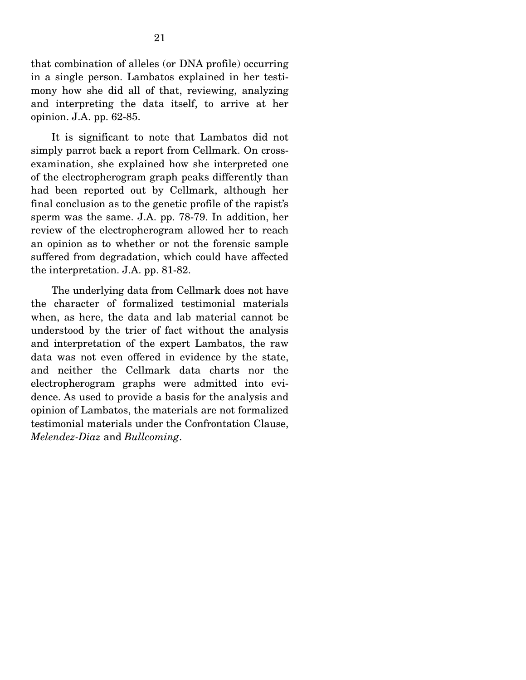that combination of alleles (or DNA profile) occurring in a single person. Lambatos explained in her testimony how she did all of that, reviewing, analyzing and interpreting the data itself, to arrive at her opinion. J.A. pp. 62-85.

 It is significant to note that Lambatos did not simply parrot back a report from Cellmark. On crossexamination, she explained how she interpreted one of the electropherogram graph peaks differently than had been reported out by Cellmark, although her final conclusion as to the genetic profile of the rapist's sperm was the same. J.A. pp. 78-79. In addition, her review of the electropherogram allowed her to reach an opinion as to whether or not the forensic sample suffered from degradation, which could have affected the interpretation. J.A. pp. 81-82.

 The underlying data from Cellmark does not have the character of formalized testimonial materials when, as here, the data and lab material cannot be understood by the trier of fact without the analysis and interpretation of the expert Lambatos, the raw data was not even offered in evidence by the state, and neither the Cellmark data charts nor the electropherogram graphs were admitted into evidence. As used to provide a basis for the analysis and opinion of Lambatos, the materials are not formalized testimonial materials under the Confrontation Clause, *Melendez-Diaz* and *Bullcoming*.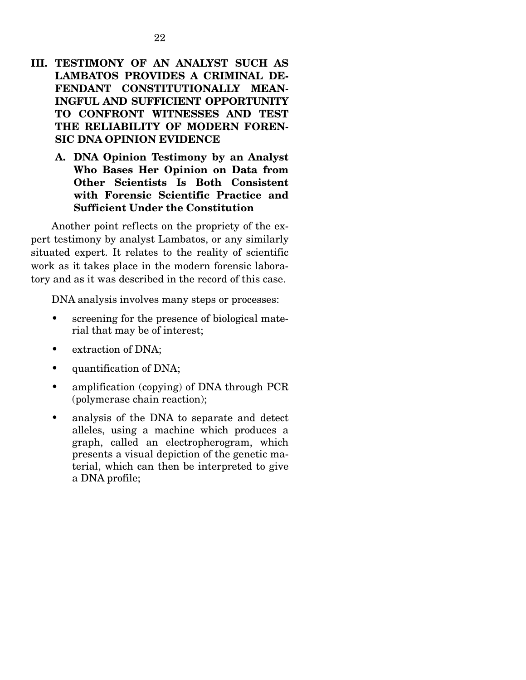### **III. TESTIMONY OF AN ANALYST SUCH AS LAMBATOS PROVIDES A CRIMINAL DE-FENDANT CONSTITUTIONALLY MEAN-INGFUL AND SUFFICIENT OPPORTUNITY TO CONFRONT WITNESSES AND TEST THE RELIABILITY OF MODERN FOREN-SIC DNA OPINION EVIDENCE**

**A. DNA Opinion Testimony by an Analyst Who Bases Her Opinion on Data from Other Scientists Is Both Consistent with Forensic Scientific Practice and Sufficient Under the Constitution** 

 Another point reflects on the propriety of the expert testimony by analyst Lambatos, or any similarly situated expert. It relates to the reality of scientific work as it takes place in the modern forensic laboratory and as it was described in the record of this case.

DNA analysis involves many steps or processes:

- screening for the presence of biological material that may be of interest;
- extraction of DNA;
- quantification of DNA;
- amplification (copying) of DNA through PCR (polymerase chain reaction);
- analysis of the DNA to separate and detect alleles, using a machine which produces a graph, called an electropherogram, which presents a visual depiction of the genetic material, which can then be interpreted to give a DNA profile;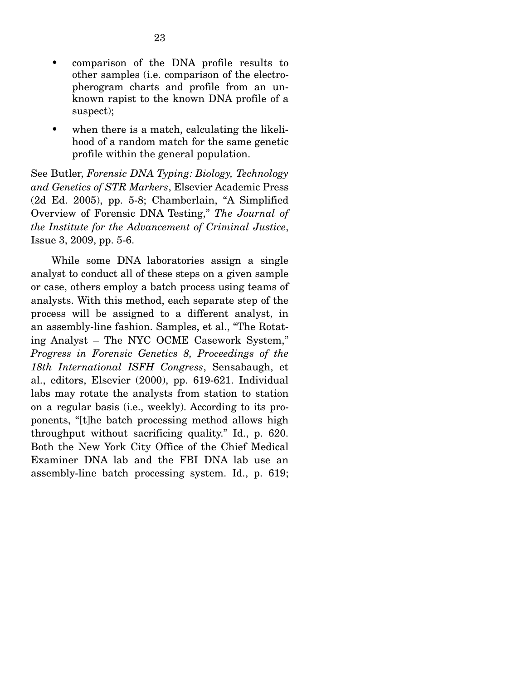- comparison of the DNA profile results to other samples (i.e. comparison of the electropherogram charts and profile from an unknown rapist to the known DNA profile of a suspect);
- when there is a match, calculating the likelihood of a random match for the same genetic profile within the general population.

See Butler, *Forensic DNA Typing: Biology, Technology and Genetics of STR Markers*, Elsevier Academic Press (2d Ed. 2005), pp. 5-8; Chamberlain, "A Simplified Overview of Forensic DNA Testing," *The Journal of the Institute for the Advancement of Criminal Justice*, Issue 3, 2009, pp. 5-6.

 While some DNA laboratories assign a single analyst to conduct all of these steps on a given sample or case, others employ a batch process using teams of analysts. With this method, each separate step of the process will be assigned to a different analyst, in an assembly-line fashion. Samples, et al., "The Rotating Analyst – The NYC OCME Casework System," *Progress in Forensic Genetics 8, Proceedings of the 18th International ISFH Congress*, Sensabaugh, et al., editors, Elsevier (2000), pp. 619-621. Individual labs may rotate the analysts from station to station on a regular basis (i.e., weekly). According to its proponents, "[t]he batch processing method allows high throughput without sacrificing quality." Id., p. 620. Both the New York City Office of the Chief Medical Examiner DNA lab and the FBI DNA lab use an assembly-line batch processing system. Id., p. 619;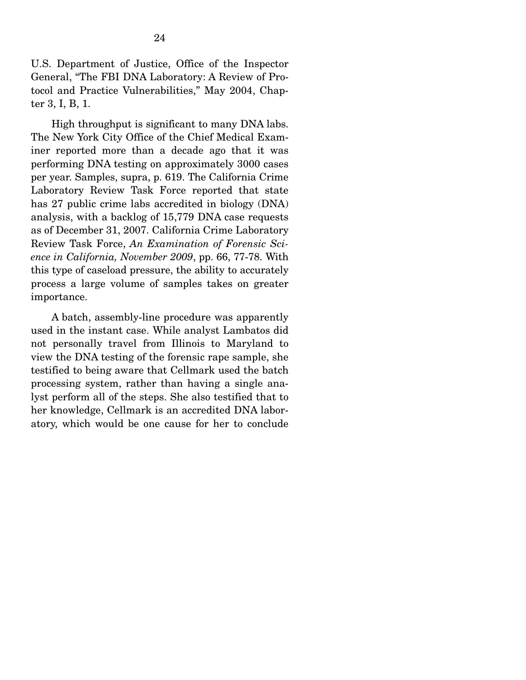U.S. Department of Justice, Office of the Inspector General, "The FBI DNA Laboratory: A Review of Protocol and Practice Vulnerabilities," May 2004, Chapter 3, I, B, 1.

 High throughput is significant to many DNA labs. The New York City Office of the Chief Medical Examiner reported more than a decade ago that it was performing DNA testing on approximately 3000 cases per year. Samples, supra, p. 619. The California Crime Laboratory Review Task Force reported that state has 27 public crime labs accredited in biology (DNA) analysis, with a backlog of 15,779 DNA case requests as of December 31, 2007. California Crime Laboratory Review Task Force, *An Examination of Forensic Science in California, November 2009*, pp. 66, 77-78. With this type of caseload pressure, the ability to accurately process a large volume of samples takes on greater importance.

 A batch, assembly-line procedure was apparently used in the instant case. While analyst Lambatos did not personally travel from Illinois to Maryland to view the DNA testing of the forensic rape sample, she testified to being aware that Cellmark used the batch processing system, rather than having a single analyst perform all of the steps. She also testified that to her knowledge, Cellmark is an accredited DNA laboratory, which would be one cause for her to conclude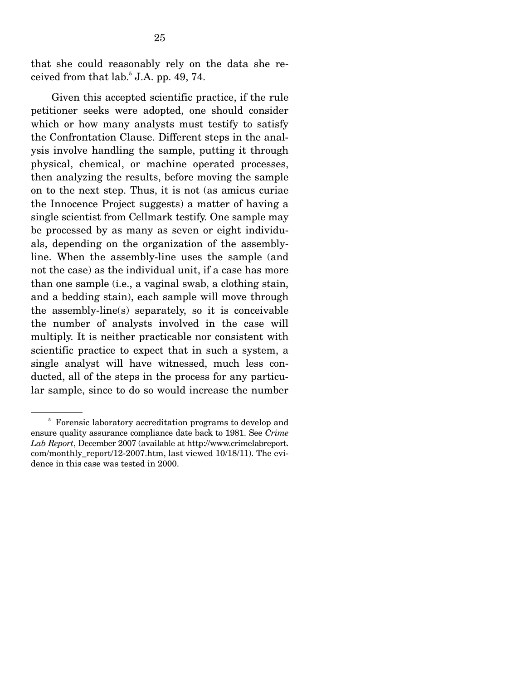that she could reasonably rely on the data she received from that  $lab.^5$  J.A. pp. 49, 74.

 Given this accepted scientific practice, if the rule petitioner seeks were adopted, one should consider which or how many analysts must testify to satisfy the Confrontation Clause. Different steps in the analysis involve handling the sample, putting it through physical, chemical, or machine operated processes, then analyzing the results, before moving the sample on to the next step. Thus, it is not (as amicus curiae the Innocence Project suggests) a matter of having a single scientist from Cellmark testify. One sample may be processed by as many as seven or eight individuals, depending on the organization of the assemblyline. When the assembly-line uses the sample (and not the case) as the individual unit, if a case has more than one sample (i.e., a vaginal swab, a clothing stain, and a bedding stain), each sample will move through the assembly-line(s) separately, so it is conceivable the number of analysts involved in the case will multiply. It is neither practicable nor consistent with scientific practice to expect that in such a system, a single analyst will have witnessed, much less conducted, all of the steps in the process for any particular sample, since to do so would increase the number

<sup>&</sup>lt;sup>5</sup> Forensic laboratory accreditation programs to develop and ensure quality assurance compliance date back to 1981. See *Crime Lab Report*, December 2007 (available at http://www.crimelabreport. com/monthly\_report/12-2007.htm, last viewed 10/18/11). The evidence in this case was tested in 2000.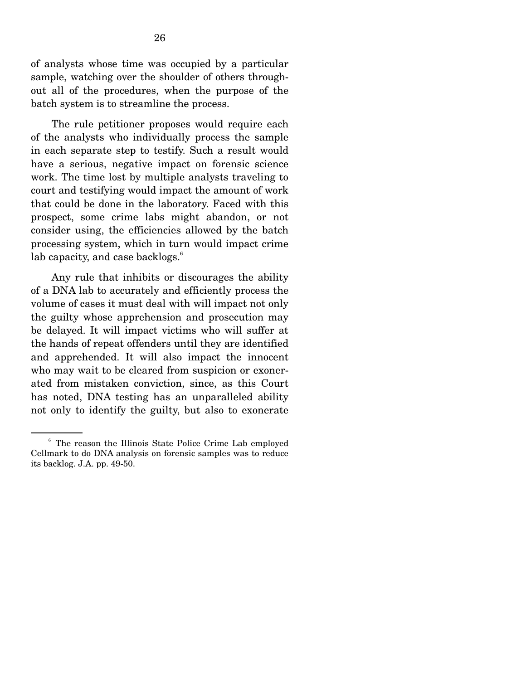of analysts whose time was occupied by a particular sample, watching over the shoulder of others throughout all of the procedures, when the purpose of the batch system is to streamline the process.

 The rule petitioner proposes would require each of the analysts who individually process the sample in each separate step to testify. Such a result would have a serious, negative impact on forensic science work. The time lost by multiple analysts traveling to court and testifying would impact the amount of work that could be done in the laboratory. Faced with this prospect, some crime labs might abandon, or not consider using, the efficiencies allowed by the batch processing system, which in turn would impact crime lab capacity, and case backlogs.<sup>6</sup>

 Any rule that inhibits or discourages the ability of a DNA lab to accurately and efficiently process the volume of cases it must deal with will impact not only the guilty whose apprehension and prosecution may be delayed. It will impact victims who will suffer at the hands of repeat offenders until they are identified and apprehended. It will also impact the innocent who may wait to be cleared from suspicion or exonerated from mistaken conviction, since, as this Court has noted, DNA testing has an unparalleled ability not only to identify the guilty, but also to exonerate

<sup>6</sup> The reason the Illinois State Police Crime Lab employed Cellmark to do DNA analysis on forensic samples was to reduce its backlog. J.A. pp. 49-50.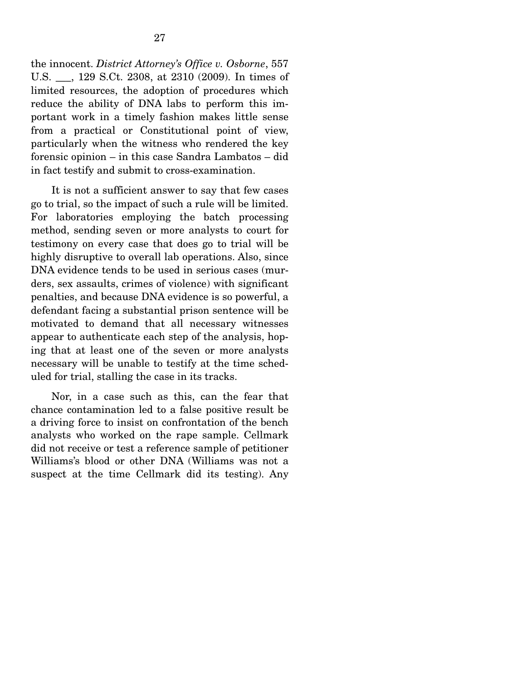the innocent. *District Attorney's Office v. Osborne*, 557 U.S. \_\_\_, 129 S.Ct. 2308, at 2310 (2009). In times of limited resources, the adoption of procedures which reduce the ability of DNA labs to perform this important work in a timely fashion makes little sense from a practical or Constitutional point of view, particularly when the witness who rendered the key forensic opinion – in this case Sandra Lambatos – did in fact testify and submit to cross-examination.

 It is not a sufficient answer to say that few cases go to trial, so the impact of such a rule will be limited. For laboratories employing the batch processing method, sending seven or more analysts to court for testimony on every case that does go to trial will be highly disruptive to overall lab operations. Also, since DNA evidence tends to be used in serious cases (murders, sex assaults, crimes of violence) with significant penalties, and because DNA evidence is so powerful, a defendant facing a substantial prison sentence will be motivated to demand that all necessary witnesses appear to authenticate each step of the analysis, hoping that at least one of the seven or more analysts necessary will be unable to testify at the time scheduled for trial, stalling the case in its tracks.

 Nor, in a case such as this, can the fear that chance contamination led to a false positive result be a driving force to insist on confrontation of the bench analysts who worked on the rape sample. Cellmark did not receive or test a reference sample of petitioner Williams's blood or other DNA (Williams was not a suspect at the time Cellmark did its testing). Any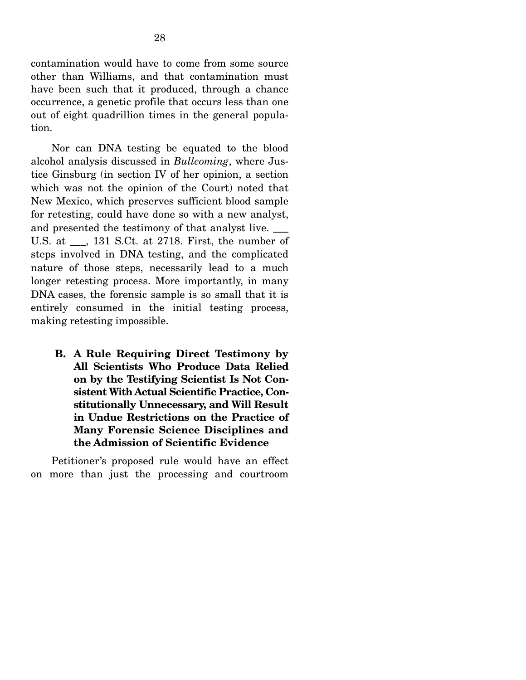contamination would have to come from some source other than Williams, and that contamination must have been such that it produced, through a chance occurrence, a genetic profile that occurs less than one out of eight quadrillion times in the general population.

 Nor can DNA testing be equated to the blood alcohol analysis discussed in *Bullcoming*, where Justice Ginsburg (in section IV of her opinion, a section which was not the opinion of the Court) noted that New Mexico, which preserves sufficient blood sample for retesting, could have done so with a new analyst, and presented the testimony of that analyst live. \_\_\_ U.S. at \_\_\_, 131 S.Ct. at 2718. First, the number of steps involved in DNA testing, and the complicated nature of those steps, necessarily lead to a much longer retesting process. More importantly, in many DNA cases, the forensic sample is so small that it is entirely consumed in the initial testing process, making retesting impossible.

**B. A Rule Requiring Direct Testimony by All Scientists Who Produce Data Relied on by the Testifying Scientist Is Not Consistent With Actual Scientific Practice, Constitutionally Unnecessary, and Will Result in Undue Restrictions on the Practice of Many Forensic Science Disciplines and the Admission of Scientific Evidence** 

 Petitioner's proposed rule would have an effect on more than just the processing and courtroom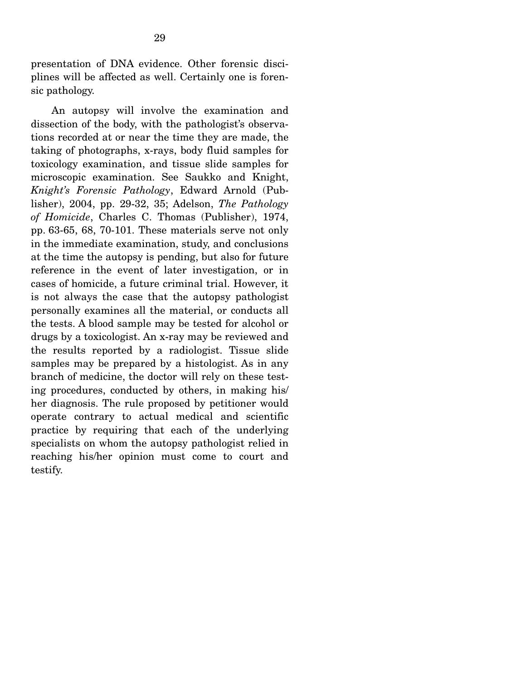presentation of DNA evidence. Other forensic disciplines will be affected as well. Certainly one is forensic pathology.

 An autopsy will involve the examination and dissection of the body, with the pathologist's observations recorded at or near the time they are made, the taking of photographs, x-rays, body fluid samples for toxicology examination, and tissue slide samples for microscopic examination. See Saukko and Knight, *Knight's Forensic Pathology*, Edward Arnold (Publisher), 2004, pp. 29-32, 35; Adelson, *The Pathology of Homicide*, Charles C. Thomas (Publisher), 1974, pp. 63-65, 68, 70-101. These materials serve not only in the immediate examination, study, and conclusions at the time the autopsy is pending, but also for future reference in the event of later investigation, or in cases of homicide, a future criminal trial. However, it is not always the case that the autopsy pathologist personally examines all the material, or conducts all the tests. A blood sample may be tested for alcohol or drugs by a toxicologist. An x-ray may be reviewed and the results reported by a radiologist. Tissue slide samples may be prepared by a histologist. As in any branch of medicine, the doctor will rely on these testing procedures, conducted by others, in making his/ her diagnosis. The rule proposed by petitioner would operate contrary to actual medical and scientific practice by requiring that each of the underlying specialists on whom the autopsy pathologist relied in reaching his/her opinion must come to court and testify.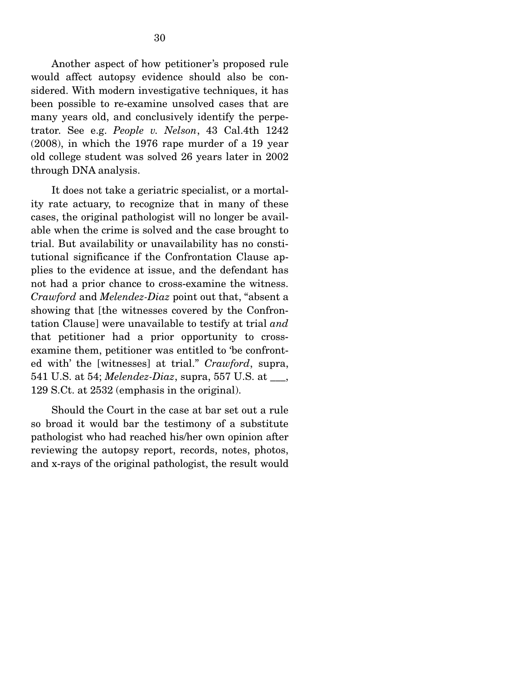Another aspect of how petitioner's proposed rule would affect autopsy evidence should also be considered. With modern investigative techniques, it has been possible to re-examine unsolved cases that are many years old, and conclusively identify the perpetrator. See e.g. *People v. Nelson*, 43 Cal.4th 1242 (2008), in which the 1976 rape murder of a 19 year old college student was solved 26 years later in 2002 through DNA analysis.

 It does not take a geriatric specialist, or a mortality rate actuary, to recognize that in many of these cases, the original pathologist will no longer be available when the crime is solved and the case brought to trial. But availability or unavailability has no constitutional significance if the Confrontation Clause applies to the evidence at issue, and the defendant has not had a prior chance to cross-examine the witness. *Crawford* and *Melendez-Diaz* point out that, "absent a showing that [the witnesses covered by the Confrontation Clause] were unavailable to testify at trial *and* that petitioner had a prior opportunity to crossexamine them, petitioner was entitled to 'be confronted with' the [witnesses] at trial." *Crawford*, supra, 541 U.S. at 54; *Melendez-Diaz*, supra, 557 U.S. at \_\_\_, 129 S.Ct. at 2532 (emphasis in the original).

 Should the Court in the case at bar set out a rule so broad it would bar the testimony of a substitute pathologist who had reached his/her own opinion after reviewing the autopsy report, records, notes, photos, and x-rays of the original pathologist, the result would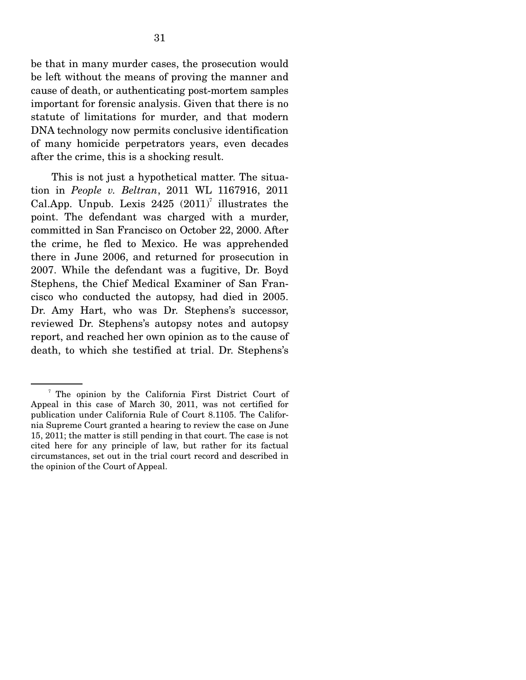be that in many murder cases, the prosecution would be left without the means of proving the manner and cause of death, or authenticating post-mortem samples important for forensic analysis. Given that there is no statute of limitations for murder, and that modern DNA technology now permits conclusive identification of many homicide perpetrators years, even decades after the crime, this is a shocking result.

 This is not just a hypothetical matter. The situation in *People v. Beltran*, 2011 WL 1167916, 2011 Cal.App. Unpub. Lexis  $2425$   $(2011)^7$  illustrates the point. The defendant was charged with a murder, committed in San Francisco on October 22, 2000. After the crime, he fled to Mexico. He was apprehended there in June 2006, and returned for prosecution in 2007. While the defendant was a fugitive, Dr. Boyd Stephens, the Chief Medical Examiner of San Francisco who conducted the autopsy, had died in 2005. Dr. Amy Hart, who was Dr. Stephens's successor, reviewed Dr. Stephens's autopsy notes and autopsy report, and reached her own opinion as to the cause of death, to which she testified at trial. Dr. Stephens's

<sup>7</sup> The opinion by the California First District Court of Appeal in this case of March 30, 2011, was not certified for publication under California Rule of Court 8.1105. The California Supreme Court granted a hearing to review the case on June 15, 2011; the matter is still pending in that court. The case is not cited here for any principle of law, but rather for its factual circumstances, set out in the trial court record and described in the opinion of the Court of Appeal.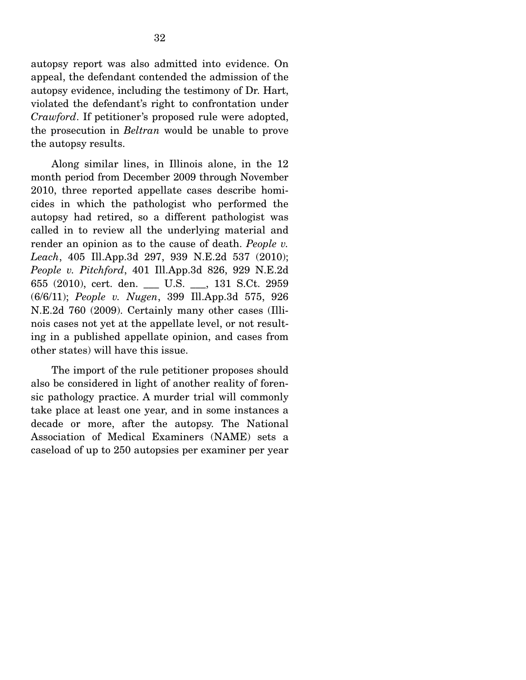autopsy report was also admitted into evidence. On appeal, the defendant contended the admission of the autopsy evidence, including the testimony of Dr. Hart, violated the defendant's right to confrontation under *Crawford*. If petitioner's proposed rule were adopted, the prosecution in *Beltran* would be unable to prove the autopsy results.

 Along similar lines, in Illinois alone, in the 12 month period from December 2009 through November 2010, three reported appellate cases describe homicides in which the pathologist who performed the autopsy had retired, so a different pathologist was called in to review all the underlying material and render an opinion as to the cause of death. *People v. Leach*, 405 Ill.App.3d 297, 939 N.E.2d 537 (2010); *People v. Pitchford*, 401 Ill.App.3d 826, 929 N.E.2d 655 (2010), cert. den. \_\_\_ U.S. \_\_\_, 131 S.Ct. 2959 (6/6/11); *People v. Nugen*, 399 Ill.App.3d 575, 926 N.E.2d 760 (2009). Certainly many other cases (Illinois cases not yet at the appellate level, or not resulting in a published appellate opinion, and cases from other states) will have this issue.

 The import of the rule petitioner proposes should also be considered in light of another reality of forensic pathology practice. A murder trial will commonly take place at least one year, and in some instances a decade or more, after the autopsy. The National Association of Medical Examiners (NAME) sets a caseload of up to 250 autopsies per examiner per year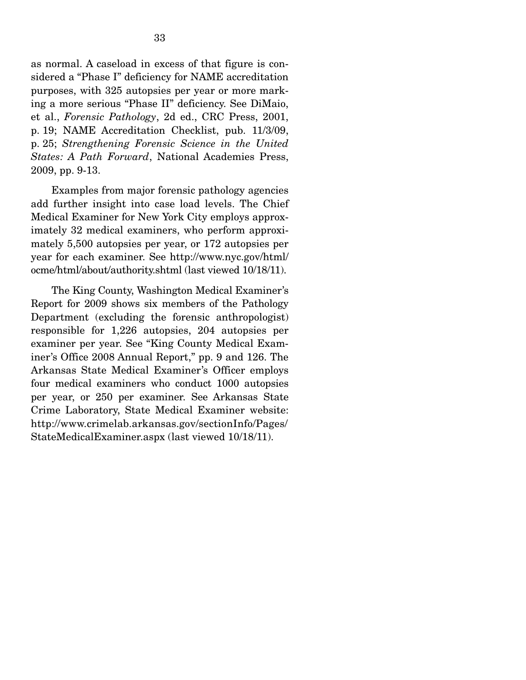as normal. A caseload in excess of that figure is considered a "Phase I" deficiency for NAME accreditation purposes, with 325 autopsies per year or more marking a more serious "Phase II" deficiency. See DiMaio, et al., *Forensic Pathology*, 2d ed., CRC Press, 2001, p. 19; NAME Accreditation Checklist, pub. 11/3/09, p. 25; *Strengthening Forensic Science in the United States: A Path Forward*, National Academies Press, 2009, pp. 9-13.

 Examples from major forensic pathology agencies add further insight into case load levels. The Chief Medical Examiner for New York City employs approximately 32 medical examiners, who perform approximately 5,500 autopsies per year, or 172 autopsies per year for each examiner. See http://www.nyc.gov/html/ ocme/html/about/authority.shtml (last viewed 10/18/11).

 The King County, Washington Medical Examiner's Report for 2009 shows six members of the Pathology Department (excluding the forensic anthropologist) responsible for 1,226 autopsies, 204 autopsies per examiner per year. See "King County Medical Examiner's Office 2008 Annual Report," pp. 9 and 126. The Arkansas State Medical Examiner's Officer employs four medical examiners who conduct 1000 autopsies per year, or 250 per examiner. See Arkansas State Crime Laboratory, State Medical Examiner website: http://www.crimelab.arkansas.gov/sectionInfo/Pages/ StateMedicalExaminer.aspx (last viewed 10/18/11).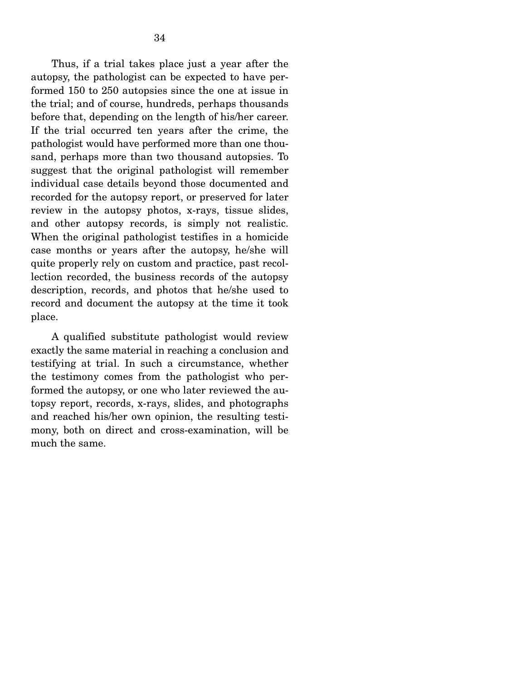Thus, if a trial takes place just a year after the autopsy, the pathologist can be expected to have performed 150 to 250 autopsies since the one at issue in the trial; and of course, hundreds, perhaps thousands before that, depending on the length of his/her career. If the trial occurred ten years after the crime, the pathologist would have performed more than one thousand, perhaps more than two thousand autopsies. To suggest that the original pathologist will remember individual case details beyond those documented and recorded for the autopsy report, or preserved for later review in the autopsy photos, x-rays, tissue slides, and other autopsy records, is simply not realistic. When the original pathologist testifies in a homicide case months or years after the autopsy, he/she will quite properly rely on custom and practice, past recollection recorded, the business records of the autopsy description, records, and photos that he/she used to record and document the autopsy at the time it took place.

 A qualified substitute pathologist would review exactly the same material in reaching a conclusion and testifying at trial. In such a circumstance, whether the testimony comes from the pathologist who performed the autopsy, or one who later reviewed the autopsy report, records, x-rays, slides, and photographs and reached his/her own opinion, the resulting testimony, both on direct and cross-examination, will be much the same.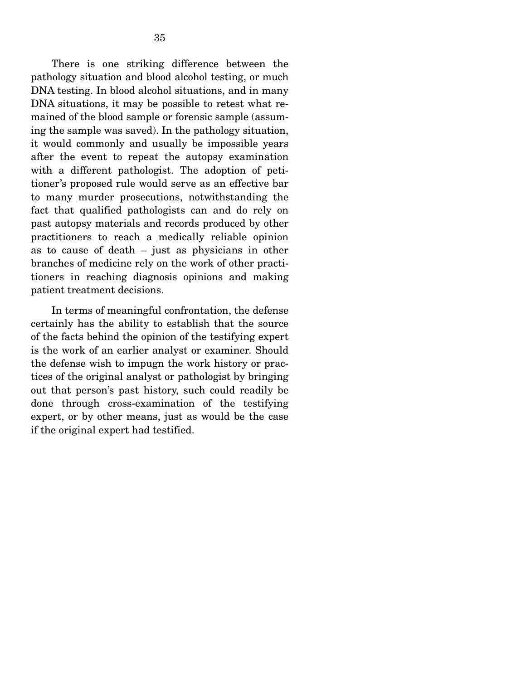There is one striking difference between the pathology situation and blood alcohol testing, or much DNA testing. In blood alcohol situations, and in many DNA situations, it may be possible to retest what remained of the blood sample or forensic sample (assuming the sample was saved). In the pathology situation, it would commonly and usually be impossible years after the event to repeat the autopsy examination with a different pathologist. The adoption of petitioner's proposed rule would serve as an effective bar to many murder prosecutions, notwithstanding the fact that qualified pathologists can and do rely on past autopsy materials and records produced by other practitioners to reach a medically reliable opinion as to cause of death – just as physicians in other branches of medicine rely on the work of other practitioners in reaching diagnosis opinions and making patient treatment decisions.

 In terms of meaningful confrontation, the defense certainly has the ability to establish that the source of the facts behind the opinion of the testifying expert is the work of an earlier analyst or examiner. Should the defense wish to impugn the work history or practices of the original analyst or pathologist by bringing out that person's past history, such could readily be done through cross-examination of the testifying expert, or by other means, just as would be the case if the original expert had testified.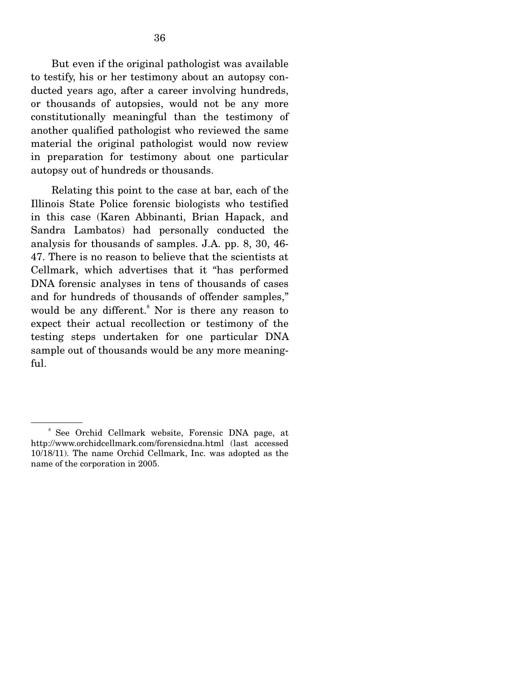But even if the original pathologist was available to testify, his or her testimony about an autopsy conducted years ago, after a career involving hundreds, or thousands of autopsies, would not be any more constitutionally meaningful than the testimony of another qualified pathologist who reviewed the same material the original pathologist would now review in preparation for testimony about one particular autopsy out of hundreds or thousands.

 Relating this point to the case at bar, each of the Illinois State Police forensic biologists who testified in this case (Karen Abbinanti, Brian Hapack, and Sandra Lambatos) had personally conducted the analysis for thousands of samples. J.A. pp. 8, 30, 46- 47. There is no reason to believe that the scientists at Cellmark, which advertises that it "has performed DNA forensic analyses in tens of thousands of cases and for hundreds of thousands of offender samples," would be any different.<sup>8</sup> Nor is there any reason to expect their actual recollection or testimony of the testing steps undertaken for one particular DNA sample out of thousands would be any more meaningful.

<sup>8</sup> See Orchid Cellmark website, Forensic DNA page, at http://www.orchidcellmark.com/forensicdna.html (last accessed 10/18/11). The name Orchid Cellmark, Inc. was adopted as the name of the corporation in 2005.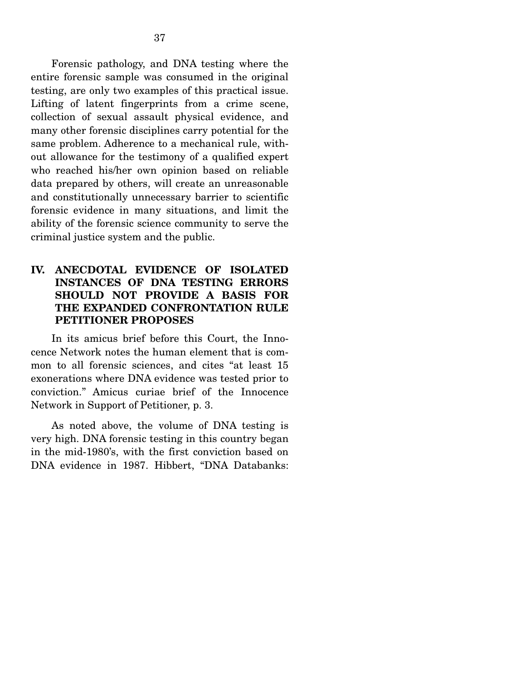Forensic pathology, and DNA testing where the entire forensic sample was consumed in the original testing, are only two examples of this practical issue. Lifting of latent fingerprints from a crime scene, collection of sexual assault physical evidence, and many other forensic disciplines carry potential for the same problem. Adherence to a mechanical rule, without allowance for the testimony of a qualified expert who reached his/her own opinion based on reliable data prepared by others, will create an unreasonable and constitutionally unnecessary barrier to scientific forensic evidence in many situations, and limit the ability of the forensic science community to serve the criminal justice system and the public.

### **IV. ANECDOTAL EVIDENCE OF ISOLATED INSTANCES OF DNA TESTING ERRORS SHOULD NOT PROVIDE A BASIS FOR THE EXPANDED CONFRONTATION RULE PETITIONER PROPOSES**

 In its amicus brief before this Court, the Innocence Network notes the human element that is common to all forensic sciences, and cites "at least 15 exonerations where DNA evidence was tested prior to conviction." Amicus curiae brief of the Innocence Network in Support of Petitioner, p. 3.

 As noted above, the volume of DNA testing is very high. DNA forensic testing in this country began in the mid-1980's, with the first conviction based on DNA evidence in 1987. Hibbert, "DNA Databanks: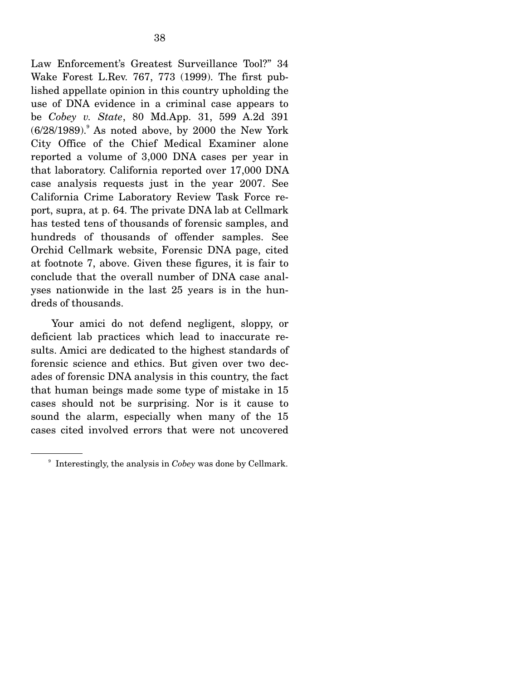Law Enforcement's Greatest Surveillance Tool?" 34 Wake Forest L.Rev. 767, 773 (1999). The first published appellate opinion in this country upholding the use of DNA evidence in a criminal case appears to be *Cobey v. State*, 80 Md.App. 31, 599 A.2d 391  $(6/28/1989)$ . As noted above, by 2000 the New York City Office of the Chief Medical Examiner alone reported a volume of 3,000 DNA cases per year in that laboratory. California reported over 17,000 DNA case analysis requests just in the year 2007. See California Crime Laboratory Review Task Force report, supra, at p. 64. The private DNA lab at Cellmark has tested tens of thousands of forensic samples, and hundreds of thousands of offender samples. See Orchid Cellmark website, Forensic DNA page, cited at footnote 7, above. Given these figures, it is fair to conclude that the overall number of DNA case analyses nationwide in the last 25 years is in the hundreds of thousands.

 Your amici do not defend negligent, sloppy, or deficient lab practices which lead to inaccurate results. Amici are dedicated to the highest standards of forensic science and ethics. But given over two decades of forensic DNA analysis in this country, the fact that human beings made some type of mistake in 15 cases should not be surprising. Nor is it cause to sound the alarm, especially when many of the 15 cases cited involved errors that were not uncovered

<sup>9</sup> Interestingly, the analysis in *Cobey* was done by Cellmark.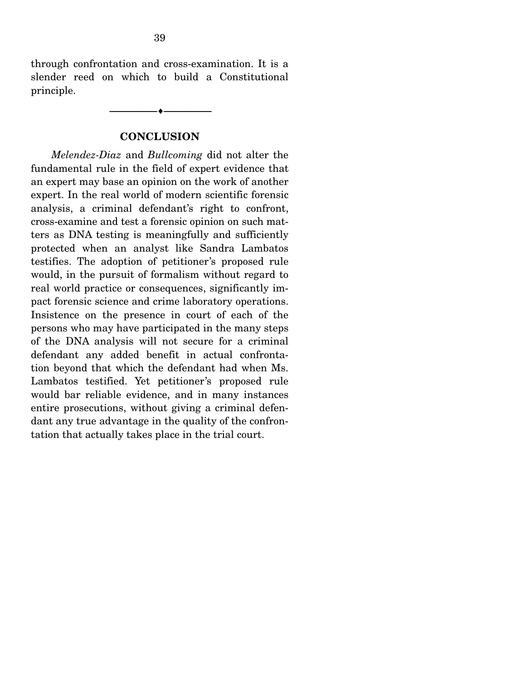through confrontation and cross-examination. It is a slender reed on which to build a Constitutional principle.

 $\overbrace{\hspace{2.5cm}}$   $\overbrace{\hspace{2.5cm}}$ 

#### **CONCLUSION**

*Melendez-Diaz* and *Bullcoming* did not alter the fundamental rule in the field of expert evidence that an expert may base an opinion on the work of another expert. In the real world of modern scientific forensic analysis, a criminal defendant's right to confront, cross-examine and test a forensic opinion on such matters as DNA testing is meaningfully and sufficiently protected when an analyst like Sandra Lambatos testifies. The adoption of petitioner's proposed rule would, in the pursuit of formalism without regard to real world practice or consequences, significantly impact forensic science and crime laboratory operations. Insistence on the presence in court of each of the persons who may have participated in the many steps of the DNA analysis will not secure for a criminal defendant any added benefit in actual confrontation beyond that which the defendant had when Ms. Lambatos testified. Yet petitioner's proposed rule would bar reliable evidence, and in many instances entire prosecutions, without giving a criminal defendant any true advantage in the quality of the confrontation that actually takes place in the trial court.